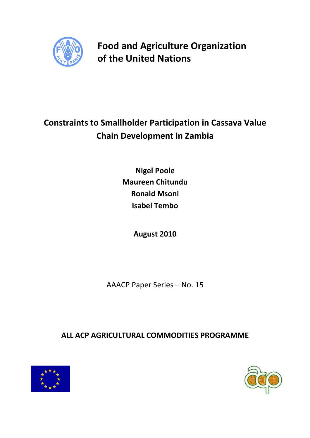

Food and Agriculture Organization of the United Nations

# Constraints to Smallholder Participation in Cassava Value Chain Development in Zambia

Nigel Poole Maureen Chitundu Ronald Msoni Isabel Tembo

August 2010

AAACP Paper Series – No. 15

ALL ACP AGRICULTURAL COMMODITIES PROGRAMME



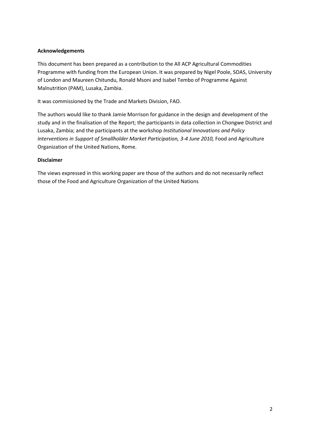### Acknowledgements

This document has been prepared as a contribution to the All ACP Agricultural Commodities Programme with funding from the European Union. It was prepared by Nigel Poole, SOAS, University of London and Maureen Chitundu, Ronald Msoni and Isabel Tembo of Programme Against Malnutrition (PAM), Lusaka, Zambia.

It was commissioned by the Trade and Markets Division, FAO.

The authors would like to thank Jamie Morrison for guidance in the design and development of the study and in the finalisation of the Report; the participants in data collection in Chongwe District and Lusaka, Zambia; and the participants at the workshop Institutional Innovations and Policy Interventions in Support of Smallholder Market Participation, 3-4 June 2010, Food and Agriculture Organization of the United Nations, Rome.

### Disclaimer

The views expressed in this working paper are those of the authors and do not necessarily reflect those of the Food and Agriculture Organization of the United Nations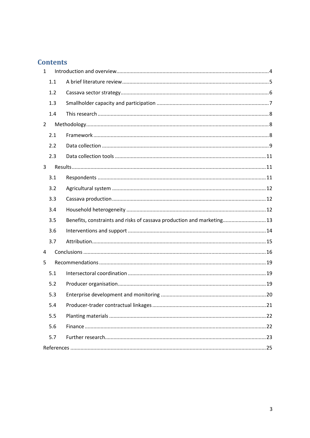## **Contents**

| $\mathbf{1}$   |                                                                        |  |
|----------------|------------------------------------------------------------------------|--|
| 1.1            |                                                                        |  |
| 1.2            |                                                                        |  |
| 1.3            |                                                                        |  |
| 1.4            |                                                                        |  |
| $\overline{2}$ |                                                                        |  |
| 2.1            |                                                                        |  |
| 2.2            |                                                                        |  |
| 2.3            |                                                                        |  |
| 3              |                                                                        |  |
| 3.1            |                                                                        |  |
| 3.2            |                                                                        |  |
| 3.3            |                                                                        |  |
| 3.4            |                                                                        |  |
| 3.5            | Benefits, constraints and risks of cassava production and marketing 13 |  |
| 3.6            |                                                                        |  |
| 3.7            |                                                                        |  |
| 4              |                                                                        |  |
| 5              |                                                                        |  |
| 5.1            |                                                                        |  |
| 5.2            |                                                                        |  |
| 5.3            |                                                                        |  |
| 5.4            |                                                                        |  |
| 5.5            |                                                                        |  |
| 5.6            |                                                                        |  |
| 5.7            |                                                                        |  |
|                |                                                                        |  |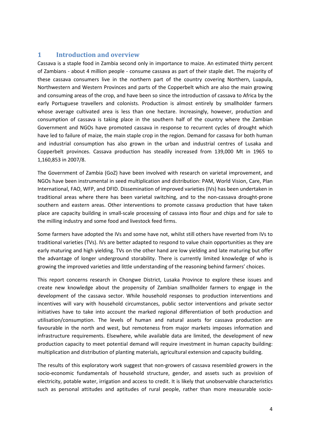## 1 Introduction and overview

Cassava is a staple food in Zambia second only in importance to maize. An estimated thirty percent of Zambians - about 4 million people - consume cassava as part of their staple diet. The majority of these cassava consumers live in the northern part of the country covering Northern, Luapula, Northwestern and Western Provinces and parts of the Copperbelt which are also the main growing and consuming areas of the crop, and have been so since the introduction of cassava to Africa by the early Portuguese travellers and colonists. Production is almost entirely by smallholder farmers whose average cultivated area is less than one hectare. Increasingly, however, production and consumption of cassava is taking place in the southern half of the country where the Zambian Government and NGOs have promoted cassava in response to recurrent cycles of drought which have led to failure of maize, the main staple crop in the region. Demand for cassava for both human and industrial consumption has also grown in the urban and industrial centres of Lusaka and Copperbelt provinces. Cassava production has steadily increased from 139,000 Mt in 1965 to 1,160,853 in 2007/8.

The Government of Zambia (GoZ) have been involved with research on varietal improvement, and NGOs have been instrumental in seed multiplication and distribution: PAM, World Vision, Care, Plan International, FAO, WFP, and DFID. Dissemination of improved varieties (IVs) has been undertaken in traditional areas where there has been varietal switching, and to the non-cassava drought-prone southern and eastern areas. Other interventions to promote cassava production that have taken place are capacity building in small-scale processing of cassava into flour and chips and for sale to the milling industry and some food and livestock feed firms.

Some farmers have adopted the IVs and some have not, whilst still others have reverted from IVs to traditional varieties (TVs). IVs are better adapted to respond to value chain opportunities as they are early maturing and high yielding. TVs on the other hand are low yielding and late maturing but offer the advantage of longer underground storability. There is currently limited knowledge of who is growing the improved varieties and little understanding of the reasoning behind farmers' choices.

This report concerns research in Chongwe District, Lusaka Province to explore these issues and create new knowledge about the propensity of Zambian smallholder farmers to engage in the development of the cassava sector. While household responses to production interventions and incentives will vary with household circumstances, public sector interventions and private sector initiatives have to take into account the marked regional differentiation of both production and utilisation/consumption. The levels of human and natural assets for cassava production are favourable in the north and west, but remoteness from major markets imposes information and infrastructure requirements. Elsewhere, while available data are limited, the development of new production capacity to meet potential demand will require investment in human capacity building: multiplication and distribution of planting materials, agricultural extension and capacity building.

The results of this exploratory work suggest that non-growers of cassava resembled growers in the socio-economic fundamentals of household structure, gender, and assets such as provision of electricity, potable water, irrigation and access to credit. It is likely that unobservable characteristics such as personal attitudes and aptitudes of rural people, rather than more measurable socio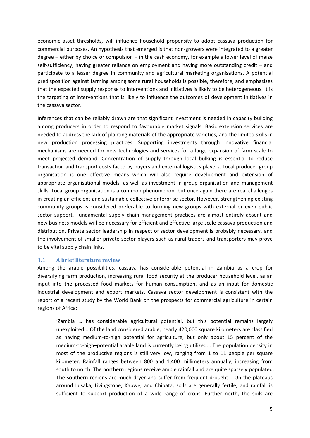economic asset thresholds, will influence household propensity to adopt cassava production for commercial purposes. An hypothesis that emerged is that non-growers were integrated to a greater degree – either by choice or compulsion – in the cash economy, for example a lower level of maize self-sufficiency, having greater reliance on employment and having more outstanding credit – and participate to a lesser degree in community and agricultural marketing organisations. A potential predisposition against farming among some rural households is possible, therefore, and emphasises that the expected supply response to interventions and initiatives is likely to be heterogeneous. It is the targeting of interventions that is likely to influence the outcomes of development initiatives in the cassava sector.

Inferences that can be reliably drawn are that significant investment is needed in capacity building among producers in order to respond to favourable market signals. Basic extension services are needed to address the lack of planting materials of the appropriate varieties, and the limited skills in new production processing practices. Supporting investments through innovative financial mechanisms are needed for new technologies and services for a large expansion of farm scale to meet projected demand. Concentration of supply through local bulking is essential to reduce transaction and transport costs faced by buyers and external logistics players. Local producer group organisation is one effective means which will also require development and extension of appropriate organisational models, as well as investment in group organisation and management skills. Local group organisation is a common phenomenon, but once again there are real challenges in creating an efficient and sustainable collective enterprise sector. However, strengthening existing community groups is considered preferable to forming new groups with external or even public sector support. Fundamental supply chain management practices are almost entirely absent and new business models will be necessary for efficient and effective large scale cassava production and distribution. Private sector leadership in respect of sector development is probably necessary, and the involvement of smaller private sector players such as rural traders and transporters may prove to be vital supply chain links.

### 1.1 A brief literature review

Among the arable possibilities, cassava has considerable potential in Zambia as a crop for diversifying farm production, increasing rural food security at the producer household level, as an input into the processed food markets for human consumption, and as an input for domestic industrial development and export markets. Cassava sector development is consistent with the report of a recent study by the World Bank on the prospects for commercial agriculture in certain regions of Africa:

'Zambia … has considerable agricultural potential, but this potential remains largely unexploited... Of the land considered arable, nearly 420,000 square kilometers are classified as having medium-to-high potential for agriculture, but only about 15 percent of the medium-to-high–potential arable land is currently being utilized... The population density in most of the productive regions is still very low, ranging from 1 to 11 people per square kilometer. Rainfall ranges between 800 and 1,400 millimeters annually, increasing from south to north. The northern regions receive ample rainfall and are quite sparsely populated. The southern regions are much dryer and suffer from frequent drought... On the plateaus around Lusaka, Livingstone, Kabwe, and Chipata, soils are generally fertile, and rainfall is sufficient to support production of a wide range of crops. Further north, the soils are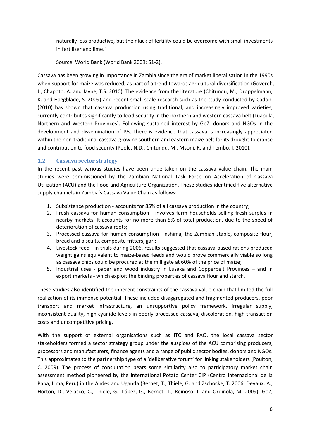naturally less productive, but their lack of fertility could be overcome with small investments in fertilizer and lime.'

Source: World Bank (World Bank 2009: 51-2).

Cassava has been growing in importance in Zambia since the era of market liberalisation in the 1990s when support for maize was reduced, as part of a trend towards agricultural diversification (Govereh, J., Chapoto, A. and Jayne, T.S. 2010). The evidence from the literature (Chitundu, M., Droppelmann, K. and Haggblade, S. 2009) and recent small scale research such as the study conducted by Cadoni (2010) has shown that cassava production using traditional, and increasingly improved varieties, currently contributes significantly to food security in the northern and western cassava belt (Luapula, Northern and Western Provinces). Following sustained interest by GoZ, donors and NGOs in the development and dissemination of IVs, there is evidence that cassava is increasingly appreciated within the non-traditional cassava-growing southern and eastern maize belt for its drought tolerance and contribution to food security (Poole, N.D., Chitundu, M., Msoni, R. and Tembo, I. 2010).

### 1.2 Cassava sector strategy

In the recent past various studies have been undertaken on the cassava value chain. The main studies were commissioned by the Zambian National Task Force on Acceleration of Cassava Utilization (ACU) and the Food and Agriculture Organization. These studies identified five alternative supply channels in Zambia's Cassava Value Chain as follows:

- 1. Subsistence production accounts for 85% of all cassava production in the country;
- 2. Fresh cassava for human consumption involves farm households selling fresh surplus in nearby markets. It accounts for no more than 5% of total production, due to the speed of deterioration of cassava roots;
- 3. Processed cassava for human consumption nshima, the Zambian staple, composite flour, bread and biscuits, composite fritters, gari;
- 4. Livestock feed in trials during 2006, results suggested that cassava-based rations produced weight gains equivalent to maize-based feeds and would prove commercially viable so long as cassava chips could be procured at the mill gate at 60% of the price of maize;
- 5. Industrial uses paper and wood industry in Lusaka and Copperbelt Provinces and in export markets - which exploit the binding properties of cassava flour and starch.

These studies also identified the inherent constraints of the cassava value chain that limited the full realization of its immense potential. These included disaggregated and fragmented producers, poor transport and market infrastructure, an unsupportive policy framework, irregular supply, inconsistent quality, high cyanide levels in poorly processed cassava, discoloration, high transaction costs and uncompetitive pricing.

With the support of external organisations such as ITC and FAO, the local cassava sector stakeholders formed a sector strategy group under the auspices of the ACU comprising producers, processors and manufacturers, finance agents and a range of public sector bodies, donors and NGOs. This approximates to the partnership type of a 'deliberative forum' for linking stakeholders (Poulton, C. 2009). The process of consultation bears some similarity also to participatory market chain assessment method pioneered by the International Potato Center CIP (Centro Internacional de la Papa, Lima, Peru) in the Andes and Uganda (Bernet, T., Thiele, G. and Zschocke, T. 2006; Devaux, A., Horton, D., Velasco, C., Thiele, G., López, G., Bernet, T., Reinoso, I. and Ordinola, M. 2009). GoZ,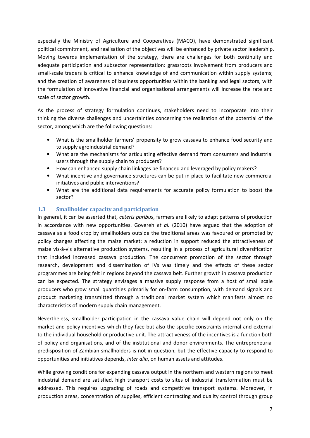especially the Ministry of Agriculture and Cooperatives (MACO), have demonstrated significant political commitment, and realisation of the objectives will be enhanced by private sector leadership. Moving towards implementation of the strategy, there are challenges for both continuity and adequate participation and subsector representation: grassroots involvement from producers and small-scale traders is critical to enhance knowledge of and communication within supply systems; and the creation of awareness of business opportunities within the banking and legal sectors, with the formulation of innovative financial and organisational arrangements will increase the rate and scale of sector growth.

As the process of strategy formulation continues, stakeholders need to incorporate into their thinking the diverse challenges and uncertainties concerning the realisation of the potential of the sector, among which are the following questions:

- What is the smallholder farmers' propensity to grow cassava to enhance food security and to supply agroindustrial demand?
- What are the mechanisms for articulating effective demand from consumers and industrial users through the supply chain to producers?
- How can enhanced supply chain linkages be financed and leveraged by policy makers?
- What incentive and governance structures can be put in place to facilitate new commercial initiatives and public interventions?
- What are the additional data requirements for accurate policy formulation to boost the sector?

### 1.3 Smallholder capacity and participation

In general, it can be asserted that, *ceteris paribus*, farmers are likely to adapt patterns of production in accordance with new opportunities. Govereh et  $al.$  (2010) have argued that the adoption of cassava as a food crop by smallholders outside the traditional areas was favoured or promoted by policy changes affecting the maize market: a reduction in support reduced the attractiveness of maize vis-à-vis alternative production systems, resulting in a process of agricultural diversification that included increased cassava production. The concurrent promotion of the sector through research, development and dissemination of IVs was timely and the effects of these sector programmes are being felt in regions beyond the cassava belt. Further growth in cassava production can be expected. The strategy envisages a massive supply response from a host of small scale producers who grow small quantities primarily for on-farm consumption, with demand signals and product marketing transmitted through a traditional market system which manifests almost no characteristics of modern supply chain management.

Nevertheless, smallholder participation in the cassava value chain will depend not only on the market and policy incentives which they face but also the specific constraints internal and external to the individual household or productive unit. The attractiveness of the incentives is a function both of policy and organisations, and of the institutional and donor environments. The entrepreneurial predisposition of Zambian smallholders is not in question, but the effective capacity to respond to opportunities and initiatives depends, inter alia, on human assets and attitudes.

While growing conditions for expanding cassava output in the northern and western regions to meet industrial demand are satisfied, high transport costs to sites of industrial transformation must be addressed. This requires upgrading of roads and competitive transport systems. Moreover, in production areas, concentration of supplies, efficient contracting and quality control through group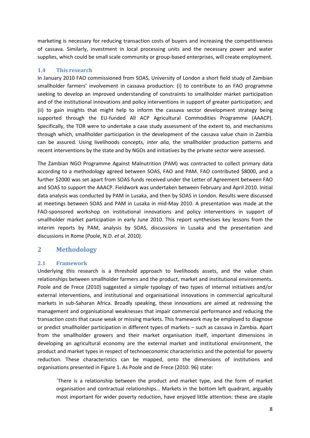marketing is necessary for reducing transaction costs of buyers and increasing the competitiveness of cassava. Similarly, investment in local processing units and the necessary power and water supplies, which could be small scale community or group-based enterprises, will create employment.

### 1.4 This research

In January 2010 FAO commissioned from SOAS, University of London a short field study of Zambian smallholder farmers' involvement in cassava production: (i) to contribute to an FAO programme seeking to develop an improved understanding of constraints to smallholder market participation and of the institutional innovations and policy interventions in support of greater participation; and (ii) to gain insights that might help to inform the cassava sector development strategy being supported through the EU-funded All ACP Agricultural Commodities Programme (AAACP). Specifically, the TOR were to undertake a case study assessment of the extent to, and mechanisms through which, smallholder participation in the development of the cassava value chain in Zambia can be assured. Using livelihoods concepts, inter alia, the smallholder production patterns and recent interventions by the state and by NGOs and initiatives by the private sector were assessed.

The Zambian NGO Programme Against Malnutrition (PAM) was contracted to collect primary data according to a methodology agreed between SOAS, FAO and PAM. FAO contributed \$8000, and a further \$2000 was set apart from SOAS funds received under the Letter of Agreement between FAO and SOAS to support the AAACP. Fieldwork was undertaken between February and April 2010. Initial data analysis was conducted by PAM in Lusaka, and then by SOAS in London. Results were discussed at meetings between SOAS and PAM in Lusaka in mid-May 2010. A presentation was made at the FAO-sponsored workshop on institutional innovations and policy interventions in support of smallholder market participation in early June 2010. This report synthesises key lessons from the interim reports by PAM, analysis by SOAS, discussions in Lusaka and the presentation and discussions in Rome (Poole, N.D. et al. 2010).

## 2 Methodology

### 2.1 Framework

Underlying this research is a threshold approach to livelihoods assets, and the value chain relationships between smallholder farmers and the product, market and institutional environments. Poole and de Frece (2010) suggested a simple typology of two types of internal initiatives and/or external interventions, and institutional and organisational innovations in commercial agricultural markets in sub-Saharan Africa. Broadly speaking, these innovations are aimed at redressing the management and organisational weaknesses that impair commercial performance and reducing the transaction costs that cause weak or missing markets. This framework may be employed to diagnose or predict smallholder participation in different types of markets – such as cassava in Zambia. Apart from the smallholder growers and their market organisation itself, important dimensions in developing an agricultural economy are the external market and institutional environment, the product and market types in respect of technoeconomic characteristics and the potential for poverty reduction. These characteristics can be mapped, onto the dimensions of institutions and organisations presented in Figure 1. As Poole and de Frece (2010: 96) state:

`There is a relationship between the product and market type, and the form of market organisation and contractual relationships… Markets in the bottom left quadrant, arguably most important for wider poverty reduction, have enjoyed little attention: these are staple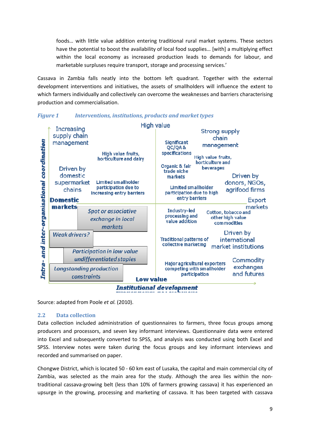foods… with little value addition entering traditional rural market systems. These sectors have the potential to boost the availability of local food supplies... [with] a multiplying effect within the local economy as increased production leads to demands for labour, and marketable surpluses require transport, storage and processing services.'

Cassava in Zambia falls neatly into the bottom left quadrant. Together with the external development interventions and initiatives, the assets of smallholders will influence the extent to which farmers individually and collectively can overcome the weaknesses and barriers characterising production and commercialisation.



Figure 1 Interventions, institutions, products and market types

Source: adapted from Poole et al. (2010).

### 2.2 Data collection

Data collection included administration of questionnaires to farmers, three focus groups among producers and processors, and seven key informant interviews. Questionnaire data were entered into Excel and subsequently converted to SPSS, and analysis was conducted using both Excel and SPSS. Interview notes were taken during the focus groups and key informant interviews and recorded and summarised on paper.

Chongwe District, which is located 50 - 60 km east of Lusaka, the capital and main commercial city of Zambia, was selected as the main area for the study. Although the area lies within the nontraditional cassava-growing belt (less than 10% of farmers growing cassava) it has experienced an upsurge in the growing, processing and marketing of cassava. It has been targeted with cassava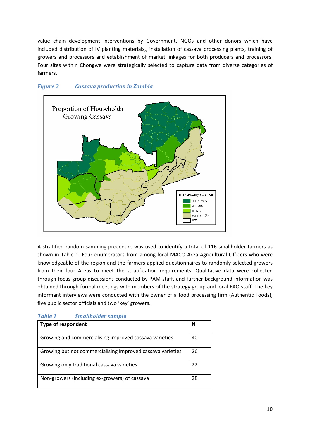value chain development interventions by Government, NGOs and other donors which have included distribution of IV planting materials,, installation of cassava processing plants, training of growers and processors and establishment of market linkages for both producers and processors. Four sites within Chongwe were strategically selected to capture data from diverse categories of farmers.



### Figure 2 Cassava production in Zambia

A stratified random sampling procedure was used to identify a total of 116 smallholder farmers as shown in Table 1. Four enumerators from among local MACO Area Agricultural Officers who were knowledgeable of the region and the farmers applied questionnaires to randomly selected growers from their four Areas to meet the stratification requirements. Qualitative data were collected through focus group discussions conducted by PAM staff, and further background information was obtained through formal meetings with members of the strategy group and local FAO staff. The key informant interviews were conducted with the owner of a food processing firm (Authentic Foods), five public sector officials and two 'key' growers.

## Table 1 Smallholder sample

| <b>Type of respondent</b>                                  | N  |
|------------------------------------------------------------|----|
| Growing and commercialising improved cassava varieties     | 40 |
| Growing but not commercialising improved cassava varieties | 26 |
| Growing only traditional cassava varieties                 | 22 |
| Non-growers (including ex-growers) of cassava              | 28 |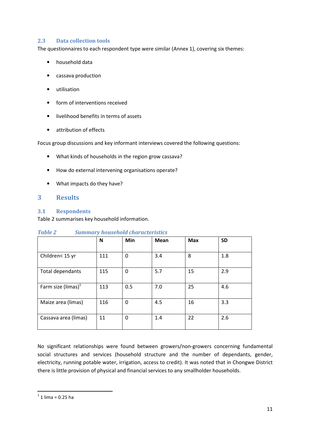### 2.3 Data collection tools

The questionnaires to each respondent type were similar (Annex 1), covering six themes:

- household data
- cassava production
- utilisation
- form of interventions received
- livelihood benefits in terms of assets
- attribution of effects

Focus group discussions and key informant interviews covered the following questions:

- What kinds of households in the region grow cassava?
- How do external intervening organisations operate?
- What impacts do they have?

### 3 Results

### 3.1 Respondents

Table 2 summarises key household information.

|                       | N   | Min      | <b>Mean</b> | <b>Max</b> | <b>SD</b> |
|-----------------------|-----|----------|-------------|------------|-----------|
| Children< 15 yr       | 111 | 0        | 3.4         | 8          | 1.8       |
| Total dependants      | 115 | 0        | 5.7         | 15         | 2.9       |
| Farm size (limas) $1$ | 113 | 0.5      | 7.0         | 25         | 4.6       |
| Maize area (limas)    | 116 | $\Omega$ | 4.5         | 16         | 3.3       |
| Cassava area (limas)  | 11  | 0        | 1.4         | 22         | 2.6       |

### Table 2 Summary household characteristics

No significant relationships were found between growers/non-growers concerning fundamental social structures and services (household structure and the number of dependants, gender, electricity, running potable water, irrigation, access to credit). It was noted that in Chongwe District there is little provision of physical and financial services to any smallholder households.

 1 1 lima = 0.25 ha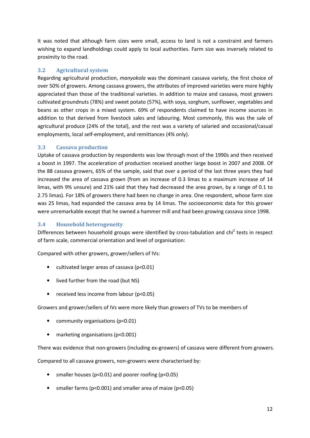It was noted that although farm sizes were small, access to land is not a constraint and farmers wishing to expand landholdings could apply to local authorities. Farm size was inversely related to proximity to the road.

## 3.2 Agricultural system

Regarding agricultural production, manyokola was the dominant cassava variety, the first choice of over 50% of growers. Among cassava growers, the attributes of improved varieties were more highly appreciated than those of the traditional varieties. In addition to maize and cassava, most growers cultivated groundnuts (78%) and sweet potato (57%), with soya, sorghum, sunflower, vegetables and beans as other crops in a mixed system. 69% of respondents claimed to have income sources in addition to that derived from livestock sales and labouring. Most commonly, this was the sale of agricultural produce (24% of the total), and the rest was a variety of salaried and occasional/casual employments, local self-employment, and remittances (4% only).

## 3.3 Cassava production

Uptake of cassava production by respondents was low through most of the 1990s and then received a boost in 1997. The acceleration of production received another large boost in 2007 and 2008. Of the 88 cassava growers, 65% of the sample, said that over a period of the last three years they had increased the area of cassava grown (from an increase of 0.3 limas to a maximum increase of 14 limas, with 9% unsure) and 21% said that they had decreased the area grown, by a range of 0.1 to 2.75 limas). For 18% of growers there had been no change in area. One respondent, whose farm size was 25 limas, had expanded the cassava area by 14 limas. The socioeconomic data for this grower were unremarkable except that he owned a hammer mill and had been growing cassava since 1998.

## 3.4 Household heterogeneity

Differences between household groups were identified by cross-tabulation and chi<sup>2</sup> tests in respect of farm scale, commercial orientation and level of organisation:

Compared with other growers, grower/sellers of IVs:

- cultivated larger areas of cassava (p<0.01)
- lived further from the road (but NS)
- received less income from labour (p<0.05)

Growers and grower/sellers of IVs were more likely than growers of TVs to be members of

- community organisations (p<0.01)
- marketing organisations (p<0.001)

There was evidence that non-growers (including ex-growers) of cassava were different from growers.

Compared to all cassava growers, non-growers were characterised by:

- smaller houses (p<0.01) and poorer roofing (p<0.05)
- smaller farms (p<0.001) and smaller area of maize (p<0.05)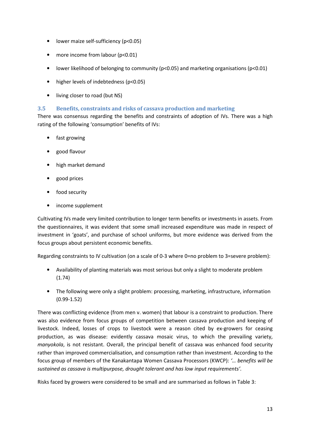- lower maize self-sufficiency (p<0.05)
- more income from labour (p<0.01)
- lower likelihood of belonging to community (p<0.05) and marketing organisations (p<0.01)
- higher levels of indebtedness (p<0.05)
- living closer to road (but NS)

### 3.5 Benefits, constraints and risks of cassava production and marketing

There was consensus regarding the benefits and constraints of adoption of IVs. There was a high rating of the following 'consumption' benefits of IVs:

- fast growing
- good flavour
- high market demand
- good prices
- food security
- income supplement

Cultivating IVs made very limited contribution to longer term benefits or investments in assets. From the questionnaires, it was evident that some small increased expenditure was made in respect of investment in 'goats', and purchase of school uniforms, but more evidence was derived from the focus groups about persistent economic benefits.

Regarding constraints to IV cultivation (on a scale of 0-3 where 0=no problem to 3=severe problem):

- Availability of planting materials was most serious but only a slight to moderate problem (1.74)
- The following were only a slight problem: processing, marketing, infrastructure, information (0.99-1.52)

There was conflicting evidence (from men v. women) that labour is a constraint to production. There was also evidence from focus groups of competition between cassava production and keeping of livestock. Indeed, losses of crops to livestock were a reason cited by ex-growers for ceasing production, as was disease: evidently cassava mosaic virus, to which the prevailing variety, manyokola, is not resistant. Overall, the principal benefit of cassava was enhanced food security rather than improved commercialisation, and consumption rather than investment. According to the focus group of members of the Kanakantapa Women Cassava Processors (KWCP): '… benefits will be sustained as cassava is multipurpose, drought tolerant and has low input requirements'.

Risks faced by growers were considered to be small and are summarised as follows in Table 3: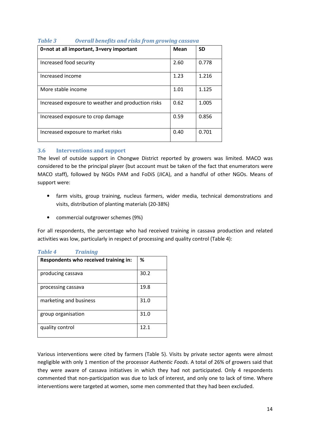| 0=not at all important, 3=very important           | <b>Mean</b> | <b>SD</b> |
|----------------------------------------------------|-------------|-----------|
| Increased food security                            | 2.60        | 0.778     |
| Increased income                                   | 1.23        | 1.216     |
| More stable income                                 | 1.01        | 1.125     |
| Increased exposure to weather and production risks | 0.62        | 1.005     |
| Increased exposure to crop damage                  | 0.59        | 0.856     |
| Increased exposure to market risks                 | 0.40        | 0.701     |

## Table 3 Overall benefits and risks from growing cassava

### 3.6 Interventions and support

The level of outside support in Chongwe District reported by growers was limited. MACO was considered to be the principal player (but account must be taken of the fact that enumerators were MACO staff), followed by NGOs PAM and FoDiS (JICA), and a handful of other NGOs. Means of support were:

- farm visits, group training, nucleus farmers, wider media, technical demonstrations and visits, distribution of planting materials (20-38%)
- commercial outgrower schemes (9%)

For all respondents, the percentage who had received training in cassava production and related activities was low, particularly in respect of processing and quality control (Table 4):

|  | Table 4 | <b>Training</b> |
|--|---------|-----------------|
|--|---------|-----------------|

| Respondents who received training in: | %    |
|---------------------------------------|------|
| producing cassava                     | 30.2 |
| processing cassava                    | 19.8 |
| marketing and business                | 31.0 |
| group organisation                    | 31.0 |
| quality control                       | 12.1 |

Various interventions were cited by farmers (Table 5). Visits by private sector agents were almost negligible with only 1 mention of the processor Authentic Foods. A total of 26% of growers said that they were aware of cassava initiatives in which they had not participated. Only 4 respondents commented that non-participation was due to lack of interest, and only one to lack of time. Where interventions were targeted at women, some men commented that they had been excluded.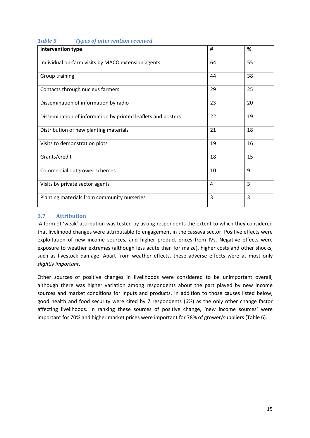| $\frac{1}{2}$ $\frac{1}{2}$ $\frac{1}{2}$ $\frac{1}{2}$ $\frac{1}{2}$ $\frac{1}{2}$ $\frac{1}{2}$ $\frac{1}{2}$ $\frac{1}{2}$ $\frac{1}{2}$ $\frac{1}{2}$ $\frac{1}{2}$ $\frac{1}{2}$ $\frac{1}{2}$ $\frac{1}{2}$ $\frac{1}{2}$ $\frac{1}{2}$ $\frac{1}{2}$ $\frac{1}{2}$ $\frac{1}{2}$ $\frac{1}{2}$ $\frac{1}{2}$<br>Intervention type | #  | %              |
|------------------------------------------------------------------------------------------------------------------------------------------------------------------------------------------------------------------------------------------------------------------------------------------------------------------------------------------|----|----------------|
|                                                                                                                                                                                                                                                                                                                                          |    |                |
| Individual on-farm visits by MACO extension agents                                                                                                                                                                                                                                                                                       | 64 | 55             |
|                                                                                                                                                                                                                                                                                                                                          |    |                |
| Group training                                                                                                                                                                                                                                                                                                                           | 44 | 38             |
| Contacts through nucleus farmers                                                                                                                                                                                                                                                                                                         | 29 | 25             |
| Dissemination of information by radio                                                                                                                                                                                                                                                                                                    | 23 | 20             |
| Dissemination of information by printed leaflets and posters                                                                                                                                                                                                                                                                             | 22 | 19             |
| Distribution of new planting materials                                                                                                                                                                                                                                                                                                   | 21 | 18             |
| Visits to demonstration plots                                                                                                                                                                                                                                                                                                            | 19 | 16             |
| Grants/credit                                                                                                                                                                                                                                                                                                                            | 18 | 15             |
| Commercial outgrower schemes                                                                                                                                                                                                                                                                                                             | 10 | 9              |
| Visits by private sector agents                                                                                                                                                                                                                                                                                                          | 4  | $\overline{3}$ |
| Planting materials from community nurseries                                                                                                                                                                                                                                                                                              | 3  | $\overline{3}$ |

## Table 5 Types of intervention received

### 3.7 Attribution

 A form of 'weak' attribution was tested by asking respondents the extent to which they considered that livelihood changes were attributable to engagement in the cassava sector. Positive effects were exploitation of new income sources, and higher product prices from IVs. Negative effects were exposure to weather extremes (although less acute than for maize), higher costs and other shocks, such as livestock damage. Apart from weather effects, these adverse effects were at most only slightly important.

Other sources of positive changes in livelihoods were considered to be unimportant overall, although there was higher variation among respondents about the part played by new income sources and market conditions for inputs and products. In addition to those causes listed below, good health and food security were cited by 7 respondents (6%) as the only other change factor affecting livelihoods. In ranking these sources of positive change, 'new income sources' were important for 70% and higher market prices were important for 78% of grower/suppliers (Table 6).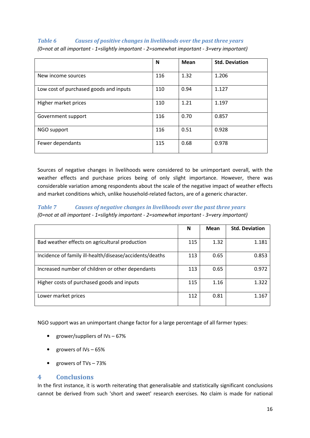## Table 6 Causes of positive changes in livelihoods over the past three years

|                                        | N   | Mean | <b>Std. Deviation</b> |
|----------------------------------------|-----|------|-----------------------|
| New income sources                     | 116 | 1.32 | 1.206                 |
| Low cost of purchased goods and inputs | 110 | 0.94 | 1.127                 |
| Higher market prices                   | 110 | 1.21 | 1.197                 |
| Government support                     | 116 | 0.70 | 0.857                 |
| NGO support                            | 116 | 0.51 | 0.928                 |
| Fewer dependants                       | 115 | 0.68 | 0.978                 |

(0=not at all important - 1=slightly important - 2=somewhat important - 3=very important)

Sources of negative changes in livelihoods were considered to be unimportant overall, with the weather effects and purchase prices being of only slight importance. However, there was considerable variation among respondents about the scale of the negative impact of weather effects and market conditions which, unlike household-related factors, are of a generic character.

## Table 7 Causes of negative changes in livelihoods over the past three years

(0=not at all important - 1=slightly important - 2=somewhat important - 3=very important)

|                                                         | N   | Mean | <b>Std. Deviation</b> |
|---------------------------------------------------------|-----|------|-----------------------|
| Bad weather effects on agricultural production          | 115 | 1.32 | 1.181                 |
| Incidence of family ill-health/disease/accidents/deaths | 113 | 0.65 | 0.853                 |
| Increased number of children or other dependants        | 113 | 0.65 | 0.972                 |
| Higher costs of purchased goods and inputs              | 115 | 1.16 | 1.322                 |
| Lower market prices                                     | 112 | 0.81 | 1.167                 |

NGO support was an unimportant change factor for a large percentage of all farmer types:

- grower/suppliers of IVs 67%
- growers of IVs 65%
- growers of TVs 73%

## 4 Conclusions

In the first instance, it is worth reiterating that generalisable and statistically significant conclusions cannot be derived from such 'short and sweet' research exercises. No claim is made for national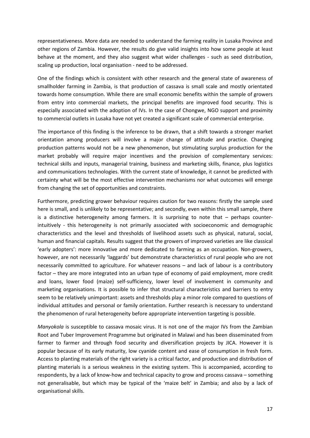representativeness. More data are needed to understand the farming reality in Lusaka Province and other regions of Zambia. However, the results do give valid insights into how some people at least behave at the moment, and they also suggest what wider challenges - such as seed distribution, scaling up production, local organisation - need to be addressed.

One of the findings which is consistent with other research and the general state of awareness of smallholder farming in Zambia, is that production of cassava is small scale and mostly orientated towards home consumption. While there are small economic benefits within the sample of growers from entry into commercial markets, the principal benefits are improved food security. This is especially associated with the adoption of IVs. In the case of Chongwe, NGO support and proximity to commercial outlets in Lusaka have not yet created a significant scale of commercial enterprise.

The importance of this finding is the inference to be drawn, that a shift towards a stronger market orientation among producers will involve a major change of attitude and practice. Changing production patterns would not be a new phenomenon, but stimulating surplus production for the market probably will require major incentives and the provision of complementary services: technical skills and inputs, managerial training, business and marketing skills, finance, plus logistics and communications technologies. With the current state of knowledge, it cannot be predicted with certainty what will be the most effective intervention mechanisms nor what outcomes will emerge from changing the set of opportunities and constraints.

Furthermore, predicting grower behaviour requires caution for two reasons: firstly the sample used here is small, and is unlikely to be representative; and secondly, even within this small sample, there is a distinctive heterogeneity among farmers. It is surprising to note that – perhaps counterintuitively - this heterogeneity is not primarily associated with socioeconomic and demographic characteristics and the level and thresholds of livelihood assets such as physical, natural, social, human and financial capitals. Results suggest that the growers of improved varieties are like classical 'early adopters': more innovative and more dedicated to farming as an occupation. Non-growers, however, are not necessarily 'laggards' but demonstrate characteristics of rural people who are not necessarily committed to agriculture. For whatever reasons – and lack of labour is a contributory factor – they are more integrated into an urban type of economy of paid employment, more credit and loans, lower food (maize) self-sufficiency, lower level of involvement in community and marketing organisations. It is possible to infer that structural characteristics and barriers to entry seem to be relatively unimportant: assets and thresholds play a minor role compared to questions of individual attitudes and personal or family orientation. Further research is necessary to understand the phenomenon of rural heterogeneity before appropriate intervention targeting is possible.

Manyokola is susceptible to cassava mosaic virus. It is not one of the major IVs from the Zambian Root and Tuber Improvement Programme but originated in Malawi and has been disseminated from farmer to farmer and through food security and diversification projects by JICA. However it is popular because of its early maturity, low cyanide content and ease of consumption in fresh form. Access to planting materials of the right variety is a critical factor, and production and distribution of planting materials is a serious weakness in the existing system. This is accompanied, according to respondents, by a lack of know-how and technical capacity to grow and process cassava – something not generalisable, but which may be typical of the 'maize belt' in Zambia; and also by a lack of organisational skills.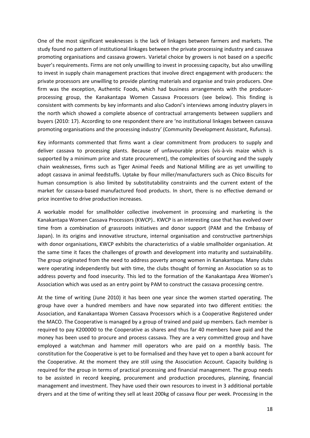One of the most significant weaknesses is the lack of linkages between farmers and markets. The study found no pattern of institutional linkages between the private processing industry and cassava promoting organisations and cassava growers. Varietal choice by growers is not based on a specific buyer's requirements. Firms are not only unwilling to invest in processing capacity, but also unwilling to invest in supply chain management practices that involve direct engagement with producers: the private processors are unwilling to provide planting materials and organise and train producers. One firm was the exception, Authentic Foods, which had business arrangements with the producerprocessing group, the Kanakantapa Women Cassava Processors (see below). This finding is consistent with comments by key informants and also Cadoni's interviews among industry players in the north which showed a complete absence of contractual arrangements between suppliers and buyers (2010: 17). According to one respondent there are 'no institutional linkages between cassava promoting organisations and the processing industry' (Community Development Assistant, Rufunsa).

Key informants commented that firms want a clear commitment from producers to supply and deliver cassava to processing plants. Because of unfavourable prices (vis-à-vis maize which is supported by a minimum price and state procurement), the complexities of sourcing and the supply chain weaknesses, firms such as Tiger Animal Feeds and National Milling are as yet unwilling to adopt cassava in animal feedstuffs. Uptake by flour miller/manufacturers such as Chico Biscuits for human consumption is also limited by substitutability constraints and the current extent of the market for cassava-based manufactured food products. In short, there is no effective demand or price incentive to drive production increases.

A workable model for smallholder collective involvement in processing and marketing is the Kanakantapa Women Cassava Processors (KWCP).. KWCP is an interesting case that has evolved over time from a combination of grassroots initiatives and donor support (PAM and the Embassy of Japan). In its origins and innovative structure, internal organisation and constructive partnerships with donor organisations, KWCP exhibits the characteristics of a viable smallholder organisation. At the same time it faces the challenges of growth and development into maturity and sustainability. The group originated from the need to address poverty among women in Kanakantapa. Many clubs were operating independently but with time, the clubs thought of forming an Association so as to address poverty and food insecurity. This led to the formation of the Kanakantapa Area Women's Association which was used as an entry point by PAM to construct the cassava processing centre.

At the time of writing (June 2010) it has been one year since the women started operating. The group have over a hundred members and have now separated into two different entities: the Association, and Kanakantapa Women Cassava Processors which is a Cooperative Registered under the MACO. The Cooperative is managed by a group of trained and paid up members. Each member is required to pay K200000 to the Cooperative as shares and thus far 40 members have paid and the money has been used to procure and process cassava. They are a very committed group and have employed a watchman and hammer mill operators who are paid on a monthly basis. The constitution for the Cooperative is yet to be formalised and they have yet to open a bank account for the Cooperative. At the moment they are still using the Association Account. Capacity building is required for the group in terms of practical processing and financial management. The group needs to be assisted in record keeping, procurement and production procedures, planning, financial management and investment. They have used their own resources to invest in 3 additional portable dryers and at the time of writing they sell at least 200kg of cassava flour per week. Processing in the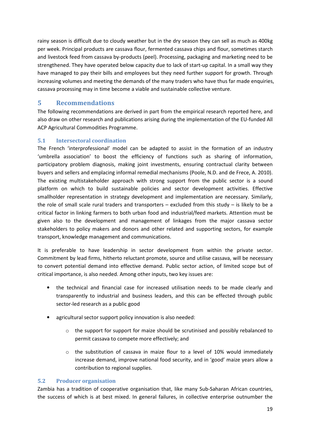rainy season is difficult due to cloudy weather but in the dry season they can sell as much as 400kg per week. Principal products are cassava flour, fermented cassava chips and flour, sometimes starch and livestock feed from cassava by-products (peel). Processing, packaging and marketing need to be strengthened. They have operated below capacity due to lack of start-up capital. In a small way they have managed to pay their bills and employees but they need further support for growth. Through increasing volumes and meeting the demands of the many traders who have thus far made enquiries, cassava processing may in time become a viable and sustainable collective venture.

## 5 Recommendations

The following recommendations are derived in part from the empirical research reported here, and also draw on other research and publications arising during the implementation of the EU-funded All ACP Agricultural Commodities Programme.

## 5.1 Intersectoral coordination

The French 'interprofessional' model can be adapted to assist in the formation of an industry 'umbrella association' to boost the efficiency of functions such as sharing of information, participatory problem diagnosis, making joint investments, ensuring contractual clarity between buyers and sellers and emplacing informal remedial mechanisms (Poole, N.D. and de Frece, A. 2010). The existing multistakeholder approach with strong support from the public sector is a sound platform on which to build sustainable policies and sector development activities. Effective smallholder representation in strategy development and implementation are necessary. Similarly, the role of small scale rural traders and transporters – excluded from this study – is likely to be a critical factor in linking farmers to both urban food and industrial/feed markets. Attention must be given also to the development and management of linkages from the major cassava sector stakeholders to policy makers and donors and other related and supporting sectors, for example transport, knowledge management and communications.

It is preferable to have leadership in sector development from within the private sector. Commitment by lead firms, hitherto reluctant promote, source and utilise cassava, will be necessary to convert potential demand into effective demand. Public sector action, of limited scope but of critical importance, is also needed. Among other inputs, two key issues are:

- the technical and financial case for increased utilisation needs to be made clearly and transparently to industrial and business leaders, and this can be effected through public sector-led research as a public good
- agricultural sector support policy innovation is also needed:
	- $\circ$  the support for support for maize should be scrutinised and possibly rebalanced to permit cassava to compete more effectively; and
	- $\circ$  the substitution of cassava in maize flour to a level of 10% would immediately increase demand, improve national food security, and in 'good' maize years allow a contribution to regional supplies.

### 5.2 Producer organisation

Zambia has a tradition of cooperative organisation that, like many Sub-Saharan African countries, the success of which is at best mixed. In general failures, in collective enterprise outnumber the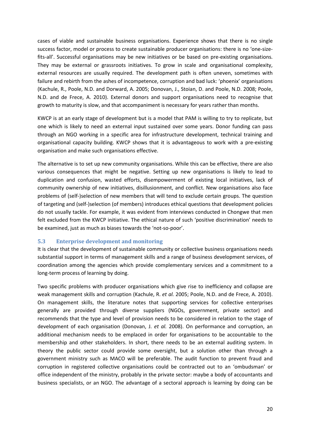cases of viable and sustainable business organisations. Experience shows that there is no single success factor, model or process to create sustainable producer organisations: there is no 'one-sizefits-all'. Successful organisations may be new initiatives or be based on pre-existing organisations. They may be external or grassroots initiatives. To grow in scale and organisational complexity, external resources are usually required. The development path is often uneven, sometimes with failure and rebirth from the ashes of incompetence, corruption and bad luck: 'phoenix' organisations (Kachule, R., Poole, N.D. and Dorward, A. 2005; Donovan, J., Stoian, D. and Poole, N.D. 2008; Poole, N.D. and de Frece, A. 2010). External donors and support organisations need to recognise that growth to maturity is slow, and that accompaniment is necessary for years rather than months.

KWCP is at an early stage of development but is a model that PAM is willing to try to replicate, but one which is likely to need an external input sustained over some years. Donor funding can pass through an NGO working in a specific area for infrastructure development, technical training and organisational capacity building. KWCP shows that it is advantageous to work with a pre-existing organisation and make such organisations effective.

The alternative is to set up new community organisations. While this can be effective, there are also various consequences that might be negative. Setting up new organisations is likely to lead to duplication and confusion, wasted efforts, disempowerment of existing local initiatives, lack of community ownership of new initiatives, disillusionment, and conflict. New organisations also face problems of (self-)selection of new members that will tend to exclude certain groups. The question of targeting and (self-)selection (of members) introduces ethical questions that development policies do not usually tackle. For example, it was evident from interviews conducted in Chongwe that men felt excluded from the KWCP initiative. The ethical nature of such 'positive discrimination' needs to be examined, just as much as biases towards the 'not-so-poor'.

### 5.3 Enterprise development and monitoring

It is clear that the development of sustainable community or collective business organisations needs substantial support in terms of management skills and a range of business development services, of coordination among the agencies which provide complementary services and a commitment to a long-term process of learning by doing.

Two specific problems with producer organisations which give rise to inefficiency and collapse are weak management skills and corruption (Kachule, R. et al. 2005; Poole, N.D. and de Frece, A. 2010). On management skills, the literature notes that supporting services for collective enterprises generally are provided through diverse suppliers (NGOs, government, private sector) and recommends that the type and level of provision needs to be considered in relation to the stage of development of each organisation (Donovan, J. et al. 2008). On performance and corruption, an additional mechanism needs to be emplaced in order for organisations to be accountable to the membership and other stakeholders. In short, there needs to be an external auditing system. In theory the public sector could provide some oversight, but a solution other than through a government ministry such as MACO will be preferable. The audit function to prevent fraud and corruption in registered collective organisations could be contracted out to an 'ombudsman' or office independent of the ministry, probably in the private sector: maybe a body of accountants and business specialists, or an NGO. The advantage of a sectoral approach is learning by doing can be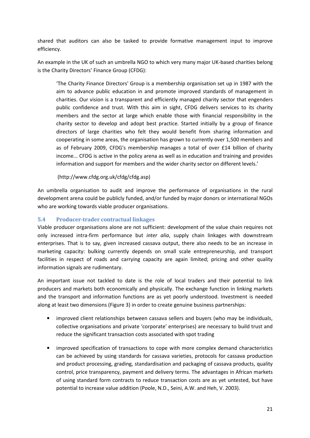shared that auditors can also be tasked to provide formative management input to improve efficiency.

An example in the UK of such an umbrella NGO to which very many major UK-based charities belong is the Charity Directors' Finance Group (CFDG):

'The Charity Finance Directors' Group is a membership organisation set up in 1987 with the aim to advance public education in and promote improved standards of management in charities. Our vision is a transparent and efficiently managed charity sector that engenders public confidence and trust. With this aim in sight, CFDG delivers services to its charity members and the sector at large which enable those with financial responsibility in the charity sector to develop and adopt best practice. Started initially by a group of finance directors of large charities who felt they would benefit from sharing information and cooperating in some areas, the organisation has grown to currently over 1,500 members and as of February 2009, CFDG's membership manages a total of over £14 billion of charity income... CFDG is active in the policy arena as well as in education and training and provides information and support for members and the wider charity sector on different levels.'

### (http://www.cfdg.org.uk/cfdg/cfdg.asp)

An umbrella organisation to audit and improve the performance of organisations in the rural development arena could be publicly funded, and/or funded by major donors or international NGOs who are working towards viable producer organisations.

### 5.4 Producer-trader contractual linkages

Viable producer organisations alone are not sufficient: development of the value chain requires not only increased intra-firm performance but inter alia, supply chain linkages with downstream enterprises. That is to say, given increased cassava output, there also needs to be an increase in marketing capacity: bulking currently depends on small scale entrepreneurship, and transport facilities in respect of roads and carrying capacity are again limited; pricing and other quality information signals are rudimentary.

An important issue not tackled to date is the role of local traders and their potential to link producers and markets both economically and physically. The exchange function in linking markets and the transport and information functions are as yet poorly understood. Investment is needed along at least two dimensions (Figure 3) in order to create genuine business partnerships:

- improved client relationships between cassava sellers and buyers (who may be individuals, collective organisations and private 'corporate' enterprises) are necessary to build trust and reduce the significant transaction costs associated with spot trading
- improved specification of transactions to cope with more complex demand characteristics can be achieved by using standards for cassava varieties, protocols for cassava production and product processing, grading, standardisation and packaging of cassava products, quality control, price transparency, payment and delivery terms. The advantages in African markets of using standard form contracts to reduce transaction costs are as yet untested, but have potential to increase value addition (Poole, N.D., Seini, A.W. and Heh, V. 2003).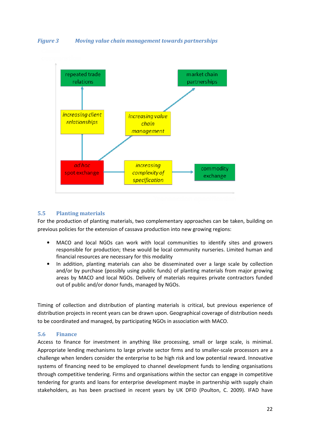



### 5.5 Planting materials

For the production of planting materials, two complementary approaches can be taken, building on previous policies for the extension of cassava production into new growing regions:

- MACO and local NGOs can work with local communities to identify sites and growers responsible for production; these would be local community nurseries. Limited human and financial resources are necessary for this modality
- In addition, planting materials can also be disseminated over a large scale by collection and/or by purchase (possibly using public funds) of planting materials from major growing areas by MACO and local NGOs. Delivery of materials requires private contractors funded out of public and/or donor funds, managed by NGOs.

Timing of collection and distribution of planting materials is critical, but previous experience of distribution projects in recent years can be drawn upon. Geographical coverage of distribution needs to be coordinated and managed, by participating NGOs in association with MACO.

### 5.6 Finance

Access to finance for investment in anything like processing, small or large scale, is minimal. Appropriate lending mechanisms to large private sector firms and to smaller-scale processors are a challenge when lenders consider the enterprise to be high risk and low potential reward. Innovative systems of financing need to be employed to channel development funds to lending organisations through competitive tendering. Firms and organisations within the sector can engage in competitive tendering for grants and loans for enterprise development maybe in partnership with supply chain stakeholders, as has been practised in recent years by UK DFID (Poulton, C. 2009). IFAD have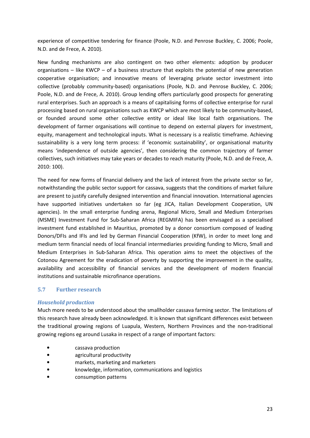experience of competitive tendering for finance (Poole, N.D. and Penrose Buckley, C. 2006; Poole, N.D. and de Frece, A. 2010).

New funding mechanisms are also contingent on two other elements: adoption by producer organisations  $-$  like KWCP  $-$  of a business structure that exploits the potential of new generation cooperative organisation; and innovative means of leveraging private sector investment into collective (probably community-based) organisations (Poole, N.D. and Penrose Buckley, C. 2006; Poole, N.D. and de Frece, A. 2010). Group lending offers particularly good prospects for generating rural enterprises. Such an approach is a means of capitalising forms of collective enterprise for rural processing based on rural organisations such as KWCP which are most likely to be community-based, or founded around some other collective entity or ideal like local faith organisations. The development of farmer organisations will continue to depend on external players for investment, equity, management and technological inputs. What is necessary is a realistic timeframe. Achieving sustainability is a very long term process: if 'economic sustainability', or organisational maturity means 'independence of outside agencies', then considering the common trajectory of farmer collectives, such initiatives may take years or decades to reach maturity (Poole, N.D. and de Frece, A. 2010: 100).

The need for new forms of financial delivery and the lack of interest from the private sector so far, notwithstanding the public sector support for cassava, suggests that the conditions of market failure are present to justify carefully designed intervention and financial innovation. International agencies have supported initiatives undertaken so far (eg JICA, Italian Development Cooperation, UN agencies). In the small enterprise funding arena, Regional Micro, Small and Medium Enterprises (MSME) Investment Fund for Sub-Saharan Africa (REGMIFA) has been envisaged as a specialised investment fund established in Mauritius, promoted by a donor consortium composed of leading Donors/DFIs and IFIs and led by German Financial Cooperation (KfW), in order to meet long and medium term financial needs of local financial intermediaries providing funding to Micro, Small and Medium Enterprises in Sub-Saharan Africa. This operation aims to meet the objectives of the Cotonou Agreement for the eradication of poverty by supporting the improvement in the quality, availability and accessibility of financial services and the development of modern financial institutions and sustainable microfinance operations.

### 5.7 Further research

### Household production

Much more needs to be understood about the smallholder cassava farming sector. The limitations of this research have already been acknowledged. It is known that significant differences exist between the traditional growing regions of Luapula, Western, Northern Provinces and the non-traditional growing regions eg around Lusaka in respect of a range of important factors:

- cassava production
- agricultural productivity
- markets, marketing and marketers
- knowledge, information, communications and logistics
- consumption patterns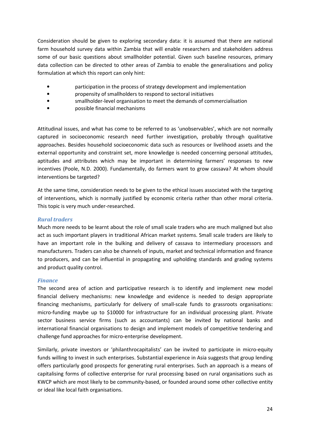Consideration should be given to exploring secondary data: it is assumed that there are national farm household survey data within Zambia that will enable researchers and stakeholders address some of our basic questions about smallholder potential. Given such baseline resources, primary data collection can be directed to other areas of Zambia to enable the generalisations and policy formulation at which this report can only hint:

- participation in the process of strategy development and implementation
- propensity of smallholders to respond to sectoral initiatives
- smallholder-level organisation to meet the demands of commercialisation
- possible financial mechanisms

Attitudinal issues, and what has come to be referred to as 'unobservables', which are not normally captured in socioeconomic research need further investigation, probably through qualitative approaches. Besides household socioeconomic data such as resources or livelihood assets and the external opportunity and constraint set, more knowledge is needed concerning personal attitudes, aptitudes and attributes which may be important in determining farmers' responses to new incentives (Poole, N.D. 2000). Fundamentally, do farmers want to grow cassava? At whom should interventions be targeted?

At the same time, consideration needs to be given to the ethical issues associated with the targeting of interventions, which is normally justified by economic criteria rather than other moral criteria. This topic is very much under-researched.

### Rural traders

Much more needs to be learnt about the role of small scale traders who are much maligned but also act as such important players in traditional African market systems. Small scale traders are likely to have an important role in the bulking and delivery of cassava to intermediary processors and manufacturers. Traders can also be channels of inputs, market and technical information and finance to producers, and can be influential in propagating and upholding standards and grading systems and product quality control.

### Finance

The second area of action and participative research is to identify and implement new model financial delivery mechanisms: new knowledge and evidence is needed to design appropriate financing mechanisms, particularly for delivery of small-scale funds to grassroots organisations: micro-funding maybe up to \$10000 for infrastructure for an individual processing plant. Private sector business service firms (such as accountants) can be invited by national banks and international financial organisations to design and implement models of competitive tendering and challenge fund approaches for micro-enterprise development.

Similarly, private investors or 'philanthrocapitalists' can be invited to participate in micro-equity funds willing to invest in such enterprises. Substantial experience in Asia suggests that group lending offers particularly good prospects for generating rural enterprises. Such an approach is a means of capitalising forms of collective enterprise for rural processing based on rural organisations such as KWCP which are most likely to be community-based, or founded around some other collective entity or ideal like local faith organisations.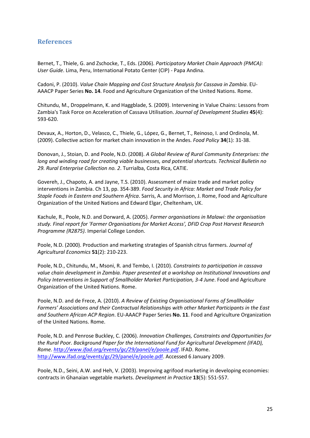## References

Bernet, T., Thiele, G. and Zschocke, T., Eds. (2006). Participatory Market Chain Approach (PMCA): User Guide. Lima, Peru, International Potato Center (CIP) - Papa Andina.

Cadoni, P. (2010). Value Chain Mapping and Cost Structure Analysis for Cassava in Zambia. EU-AAACP Paper Series No. 14. Food and Agriculture Organization of the United Nations. Rome.

Chitundu, M., Droppelmann, K. and Haggblade, S. (2009). Intervening in Value Chains: Lessons from Zambia's Task Force on Acceleration of Cassava Utilisation. Journal of Development Studies 45(4): 593-620.

Devaux, A., Horton, D., Velasco, C., Thiele, G., López, G., Bernet, T., Reinoso, I. and Ordinola, M. (2009). Collective action for market chain innovation in the Andes. Food Policy 34(1): 31-38.

Donovan, J., Stoian, D. and Poole, N.D. (2008). A Global Review of Rural Community Enterprises: the long and winding road for creating viable businesses, and potential shortcuts. Technical Bulletin no 29. Rural Enterprise Collection no. 2. Turrialba, Costa Rica, CATIE.

Govereh, J., Chapoto, A. and Jayne, T.S. (2010). Assessment of maize trade and market policy interventions in Zambia. Ch 13, pp. 354-389. Food Security in Africa: Market and Trade Policy for Staple Foods in Eastern and Southern Africa. Sarris, A. and Morrison, J. Rome, Food and Agriculture Organization of the United Nations and Edward Elgar, Cheltenham, UK.

Kachule, R., Poole, N.D. and Dorward, A. (2005). Farmer organisations in Malawi: the organisation study. Final report for 'Farmer Organisations for Market Access', DFID Crop Post Harvest Research Programme (R2875). Imperial College London.

Poole, N.D. (2000). Production and marketing strategies of Spanish citrus farmers. Journal of Agricultural Economics 51(2): 210-223.

Poole, N.D., Chitundu, M., Msoni, R. and Tembo, I. (2010). Constraints to participation in cassava value chain development in Zambia. Paper presented at a workshop on Institutional Innovations and Policy Interventions in Support of Smallholder Market Participation, 3-4 June. Food and Agriculture Organization of the United Nations. Rome.

Poole, N.D. and de Frece, A. (2010). A Review of Existing Organisational Forms of Smallholder Farmers' Associations and their Contractual Relationships with other Market Participants in the East and Southern African ACP Region. EU-AAACP Paper Series No. 11. Food and Agriculture Organization of the United Nations. Rome.

Poole, N.D. and Penrose Buckley, C. (2006). Innovation Challenges, Constraints and Opportunities for the Rural Poor. Background Paper for the International Fund for Agricultural Development (IFAD), Rome. http://www.ifad.org/events/gc/29/panel/e/poole.pdf. IFAD. Rome. http://www.ifad.org/events/gc/29/panel/e/poole.pdf. Accessed 6 January 2009.

Poole, N.D., Seini, A.W. and Heh, V. (2003). Improving agrifood marketing in developing economies: contracts in Ghanaian vegetable markets. Development in Practice 13(5): 551-557.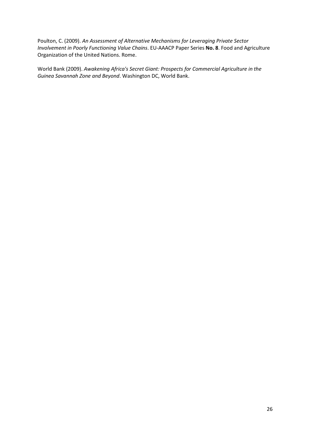Poulton, C. (2009). An Assessment of Alternative Mechanisms for Leveraging Private Sector Involvement in Poorly Functioning Value Chains. EU-AAACP Paper Series No. 8. Food and Agriculture Organization of the United Nations. Rome.

World Bank (2009). Awakening Africa's Secret Giant: Prospects for Commercial Agriculture in the Guinea Savannah Zone and Beyond. Washington DC, World Bank.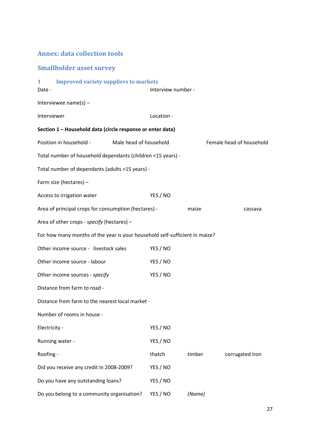## Annex: data collection tools

## Smallholder asset survey

| <b>Improved variety suppliers to markets</b><br>$\mathbf{1}$<br>Date -      | Interview number - |        |                          |
|-----------------------------------------------------------------------------|--------------------|--------|--------------------------|
| Interviewee name(s) $-$                                                     |                    |        |                          |
| Interviewer                                                                 | Location -         |        |                          |
| Section 1 - Household data (circle response or enter data)                  |                    |        |                          |
| Position in household -<br>Male head of household                           |                    |        | Female head of household |
| Total number of household dependants (children <15 years) -                 |                    |        |                          |
| Total number of dependants (adults >15 years) -                             |                    |        |                          |
| Farm size (hectares) -                                                      |                    |        |                          |
| Access to irrigation water                                                  | YES / NO           |        |                          |
| Area of principal crops for consumption (hectares) -                        |                    | maize  | cassava                  |
| Area of other crops - specify (hectares) -                                  |                    |        |                          |
| For how many months of the year is your household self-sufficient in maize? |                    |        |                          |
| Other income source - livestock sales                                       | YES / NO           |        |                          |
| Other income source - labour                                                | YES / NO           |        |                          |
| Other income sources - specify                                              | YES / NO           |        |                          |
| Distance from farm to road -                                                |                    |        |                          |
| Distance from farm to the nearest local market -                            |                    |        |                          |
| Number of rooms in house -                                                  |                    |        |                          |
| Electricity -                                                               | YES / NO           |        |                          |
| Running water -                                                             | YES / NO           |        |                          |
| Roofing -                                                                   | thatch             | timber | corrugated iron          |
| Did you receive any credit in 2008-2009?                                    | YES / NO           |        |                          |
| Do you have any outstanding loans?                                          | YES / NO           |        |                          |
| Do you belong to a community organisation?                                  | YES / NO           | (Name) |                          |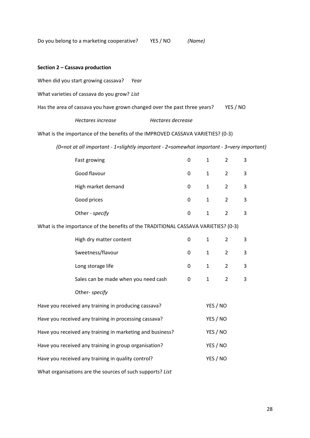Do you belong to a marketing cooperative? YES / NO (Name)

### Section 2 – Cassava production

When did you start growing cassava? Year

What varieties of cassava do you grow? List

Has the area of cassava you have grown changed over the past three years? YES / NO

Hectares increase **Hectares** decrease

What is the importance of the benefits of the IMPROVED CASSAVA VARIETIES? (0-3)

(0=not at all important - 1=slightly important - 2=somewhat important - 3=very important)

|                                                                   | Fast growing                                                                       | 0              | $\mathbf{1}$ | $\overline{2}$ | 3 |
|-------------------------------------------------------------------|------------------------------------------------------------------------------------|----------------|--------------|----------------|---|
|                                                                   | Good flavour                                                                       | 0              | $\mathbf{1}$ | $\overline{2}$ | 3 |
|                                                                   | High market demand                                                                 | 0              | $\mathbf{1}$ | $\overline{2}$ | 3 |
|                                                                   | Good prices                                                                        | $\overline{0}$ | $\mathbf{1}$ | $\overline{2}$ | 3 |
|                                                                   | Other - specify                                                                    | $\mathbf 0$    | $\mathbf{1}$ | $\overline{2}$ | 3 |
|                                                                   | What is the importance of the benefits of the TRADITIONAL CASSAVA VARIETIES? (0-3) |                |              |                |   |
|                                                                   | High dry matter content                                                            | 0              | $\mathbf{1}$ | $\overline{2}$ | 3 |
|                                                                   | Sweetness/flavour                                                                  | 0              | $\mathbf{1}$ | $\overline{2}$ | 3 |
|                                                                   | Long storage life                                                                  | 0              | $\mathbf{1}$ | $\overline{2}$ | 3 |
|                                                                   | Sales can be made when you need cash                                               | 0              | $\mathbf{1}$ | $\overline{2}$ | 3 |
|                                                                   | Other- specify                                                                     |                |              |                |   |
| Have you received any training in producing cassava?              |                                                                                    |                | YES / NO     |                |   |
| Have you received any training in processing cassava?             |                                                                                    |                | YES / NO     |                |   |
| Have you received any training in marketing and business?         | YES / NO                                                                           |                |              |                |   |
| YES / NO<br>Have you received any training in group organisation? |                                                                                    |                |              |                |   |
| Have you received any training in quality control?<br>YES / NO    |                                                                                    |                |              |                |   |
|                                                                   |                                                                                    |                |              |                |   |

What organisations are the sources of such supports? List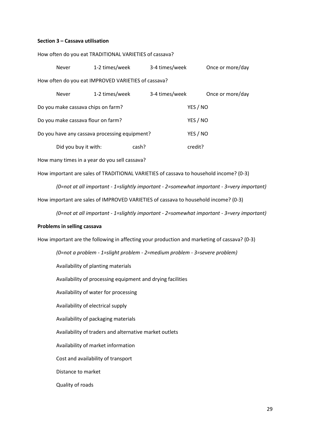#### Section 3 – Cassava utilisation

| <b>Never</b>                       | 1-2 times/week                                      | 3-4 times/week | Once or more/day |
|------------------------------------|-----------------------------------------------------|----------------|------------------|
|                                    | How often do you eat IMPROVED VARIETIES of cassava? |                |                  |
| <b>Never</b>                       | 1-2 times/week                                      | 3-4 times/week | Once or more/day |
| Do you make cassava chips on farm? |                                                     |                | YES / NO         |
| Do you make cassava flour on farm? |                                                     |                | YES / NO         |
|                                    |                                                     |                |                  |

How often do you eat TRADITIONAL VARIETIES of cassava?

Did you buy it with: cash? credit?

Do you have any cassava processing equipment? YES / NO

How many times in a year do you sell cassava?

How important are sales of TRADITIONAL VARIETIES of cassava to household income? (0-3)

(0=not at all important - 1=slightly important - 2=somewhat important - 3=very important) How important are sales of IMPROVED VARIETIES of cassava to household income? (0-3)

(0=not at all important - 1=slightly important - 2=somewhat important - 3=very important)

#### Problems in selling cassava

How important are the following in affecting your production and marketing of cassava? (0-3)

(0=not a problem - 1=slight problem - 2=medium problem - 3=severe problem)

Availability of planting materials

Availability of processing equipment and drying facilities

Availability of water for processing

Availability of electrical supply

Availability of packaging materials

Availability of traders and alternative market outlets

Availability of market information

Cost and availability of transport

Distance to market

Quality of roads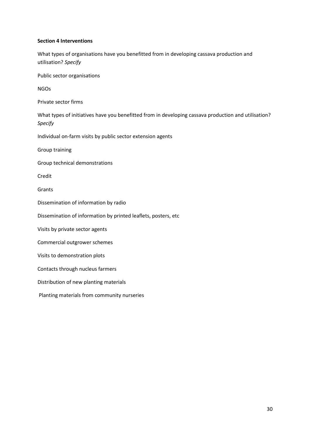### Section 4 Interventions

What types of organisations have you benefitted from in developing cassava production and utilisation? Specify

Public sector organisations

NGOs

Private sector firms

What types of initiatives have you benefitted from in developing cassava production and utilisation? Specify

Individual on-farm visits by public sector extension agents

Group training

Group technical demonstrations

Credit

Grants

Dissemination of information by radio

Dissemination of information by printed leaflets, posters, etc

Visits by private sector agents

Commercial outgrower schemes

Visits to demonstration plots

Contacts through nucleus farmers

Distribution of new planting materials

Planting materials from community nurseries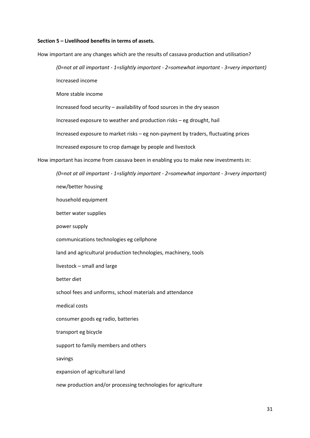#### Section 5 – Livelihood benefits in terms of assets.

How important are any changes which are the results of cassava production and utilisation?

(0=not at all important - 1=slightly important - 2=somewhat important - 3=very important)

Increased income

More stable income

Increased food security – availability of food sources in the dry season

Increased exposure to weather and production risks – eg drought, hail

Increased exposure to market risks – eg non-payment by traders, fluctuating prices

Increased exposure to crop damage by people and livestock

How important has income from cassava been in enabling you to make new investments in:

(0=not at all important - 1=slightly important - 2=somewhat important - 3=very important)

new/better housing

household equipment

better water supplies

power supply

communications technologies eg cellphone

land and agricultural production technologies, machinery, tools

livestock – small and large

better diet

school fees and uniforms, school materials and attendance

medical costs

consumer goods eg radio, batteries

transport eg bicycle

support to family members and others

savings

expansion of agricultural land

new production and/or processing technologies for agriculture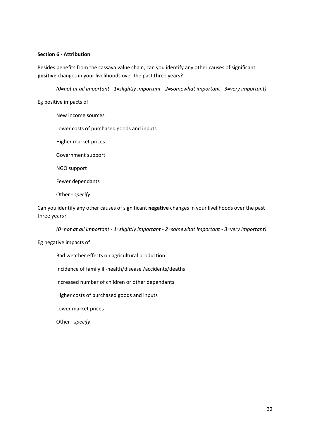### Section 6 - Attribution

Besides benefits from the cassava value chain, can you identify any other causes of significant positive changes in your livelihoods over the past three years?

(0=not at all important - 1=slightly important - 2=somewhat important - 3=very important)

Eg positive impacts of

New income sources Lower costs of purchased goods and inputs Higher market prices Government support NGO support Fewer dependants Other - specify

Can you identify any other causes of significant negative changes in your livelihoods over the past three years?

(0=not at all important - 1=slightly important - 2=somewhat important - 3=very important)

### Eg negative impacts of

Bad weather effects on agricultural production Incidence of family ill-health/disease /accidents/deaths Increased number of children or other dependants Higher costs of purchased goods and inputs Lower market prices Other - specify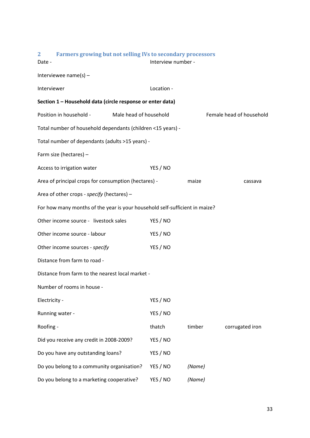| Farmers growing but not selling IVs to secondary processors<br>$\mathbf{2}$<br>Date - | Interview number - |        |                          |
|---------------------------------------------------------------------------------------|--------------------|--------|--------------------------|
| Interviewee name(s) $-$                                                               |                    |        |                          |
| Interviewer                                                                           | Location -         |        |                          |
| Section 1 - Household data (circle response or enter data)                            |                    |        |                          |
| Position in household -<br>Male head of household                                     |                    |        | Female head of household |
| Total number of household dependants (children <15 years) -                           |                    |        |                          |
| Total number of dependants (adults >15 years) -                                       |                    |        |                          |
| Farm size (hectares) -                                                                |                    |        |                          |
| Access to irrigation water                                                            | YES / NO           |        |                          |
| Area of principal crops for consumption (hectares) -                                  |                    | maize  | cassava                  |
| Area of other crops - specify (hectares) -                                            |                    |        |                          |
| For how many months of the year is your household self-sufficient in maize?           |                    |        |                          |
| Other income source - livestock sales                                                 | YES / NO           |        |                          |
| Other income source - labour                                                          | YES / NO           |        |                          |
| Other income sources - specify                                                        | YES / NO           |        |                          |
| Distance from farm to road -                                                          |                    |        |                          |
| Distance from farm to the nearest local market -                                      |                    |        |                          |
| Number of rooms in house -                                                            |                    |        |                          |
| Electricity -                                                                         | YES / NO           |        |                          |
| Running water -                                                                       | YES / NO           |        |                          |
| Roofing -                                                                             | thatch             | timber | corrugated iron          |
| Did you receive any credit in 2008-2009?                                              | YES / NO           |        |                          |
| Do you have any outstanding loans?                                                    | YES / NO           |        |                          |
| Do you belong to a community organisation?                                            | YES / NO           | (Name) |                          |
| Do you belong to a marketing cooperative?                                             | YES / NO           | (Name) |                          |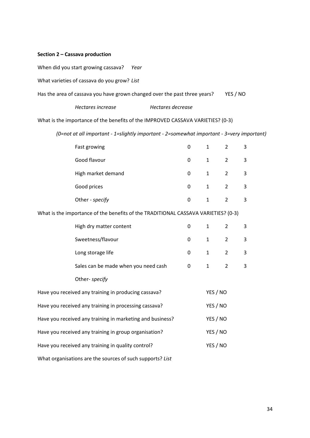### Section 2 – Cassava production

When did you start growing cassava? Year

What varieties of cassava do you grow? List

| Has the area of cassava you have grown changed over the past three years? |  |  |  | YES / NO |
|---------------------------------------------------------------------------|--|--|--|----------|
|---------------------------------------------------------------------------|--|--|--|----------|

### What is the importance of the benefits of the IMPROVED CASSAVA VARIETIES? (0-3)

(0=not at all important - 1=slightly important - 2=somewhat important - 3=very important)

|                                                           | Fast growing                                                                       | 0           | $\mathbf{1}$ | $\overline{2}$ | 3                         |
|-----------------------------------------------------------|------------------------------------------------------------------------------------|-------------|--------------|----------------|---------------------------|
|                                                           | Good flavour                                                                       | $\mathbf 0$ | $\mathbf{1}$ | $\overline{2}$ | 3                         |
|                                                           | High market demand                                                                 | 0           | $\mathbf{1}$ | $\overline{2}$ | 3                         |
|                                                           | Good prices                                                                        | 0           | $\mathbf{1}$ | $\overline{2}$ | 3                         |
|                                                           | Other - specify                                                                    | $\mathbf 0$ | $\mathbf{1}$ | $\overline{2}$ | 3                         |
|                                                           | What is the importance of the benefits of the TRADITIONAL CASSAVA VARIETIES? (0-3) |             |              |                |                           |
|                                                           | High dry matter content                                                            | 0           | $\mathbf{1}$ | $\overline{2}$ | 3                         |
|                                                           | Sweetness/flavour                                                                  | 0           | $\mathbf{1}$ | $\overline{2}$ | $\mathsf 3$               |
|                                                           | Long storage life                                                                  | 0           | $\mathbf{1}$ | $\overline{2}$ | 3                         |
|                                                           | Sales can be made when you need cash                                               | 0           | $\mathbf{1}$ | $\overline{2}$ | $\ensuremath{\mathsf{3}}$ |
|                                                           | Other- specify                                                                     |             |              |                |                           |
|                                                           | Have you received any training in producing cassava?                               |             | YES / NO     |                |                           |
|                                                           | Have you received any training in processing cassava?                              |             | YES / NO     |                |                           |
| Have you received any training in marketing and business? |                                                                                    |             | YES / NO     |                |                           |
| Have you received any training in group organisation?     |                                                                                    |             | YES / NO     |                |                           |
| Have you received any training in quality control?        |                                                                                    |             | YES / NO     |                |                           |
|                                                           |                                                                                    |             |              |                |                           |

What organisations are the sources of such supports? List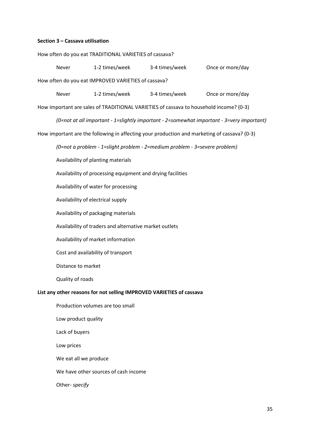#### Section 3 – Cassava utilisation

How often do you eat TRADITIONAL VARIETIES of cassava?

Never 1-2 times/week 3-4 times/week Once or more/day How often do you eat IMPROVED VARIETIES of cassava? Never 1-2 times/week 3-4 times/week Once or more/day How important are sales of TRADITIONAL VARIETIES of cassava to household income? (0-3) (0=not at all important - 1=slightly important - 2=somewhat important - 3=very important) How important are the following in affecting your production and marketing of cassava? (0-3) (0=not a problem - 1=slight problem - 2=medium problem - 3=severe problem) Availability of planting materials Availability of processing equipment and drying facilities Availability of water for processing Availability of electrical supply Availability of packaging materials Availability of traders and alternative market outlets Availability of market information Cost and availability of transport

Distance to market

Quality of roads

### List any other reasons for not selling IMPROVED VARIETIES of cassava

Production volumes are too small Low product quality Lack of buyers Low prices We eat all we produce We have other sources of cash income Other- specify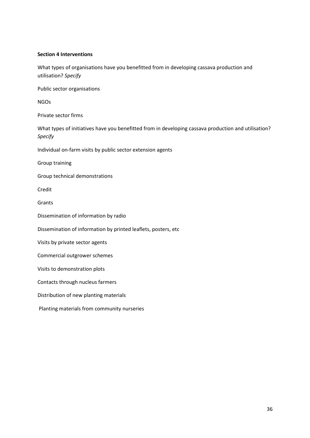### Section 4 Interventions

What types of organisations have you benefitted from in developing cassava production and utilisation? Specify

Public sector organisations

NGOs

Private sector firms

What types of initiatives have you benefitted from in developing cassava production and utilisation? Specify

Individual on-farm visits by public sector extension agents

Group training

Group technical demonstrations

Credit

Grants

Dissemination of information by radio

Dissemination of information by printed leaflets, posters, etc

Visits by private sector agents

Commercial outgrower schemes

Visits to demonstration plots

Contacts through nucleus farmers

Distribution of new planting materials

Planting materials from community nurseries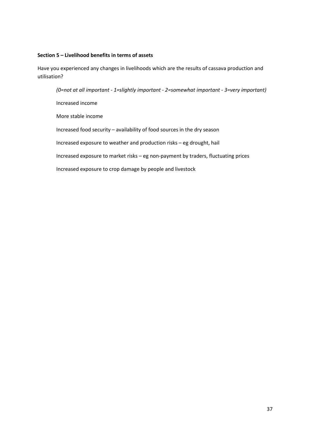### Section 5 – Livelihood benefits in terms of assets

Have you experienced any changes in livelihoods which are the results of cassava production and utilisation?

(0=not at all important - 1=slightly important - 2=somewhat important - 3=very important) Increased income More stable income Increased food security – availability of food sources in the dry season Increased exposure to weather and production risks – eg drought, hail Increased exposure to market risks – eg non-payment by traders, fluctuating prices Increased exposure to crop damage by people and livestock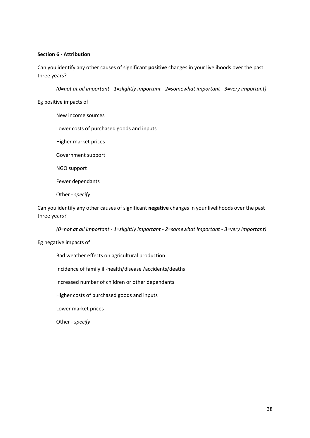### Section 6 - Attribution

Can you identify any other causes of significant positive changes in your livelihoods over the past three years?

(0=not at all important - 1=slightly important - 2=somewhat important - 3=very important)

### Eg positive impacts of

New income sources Lower costs of purchased goods and inputs Higher market prices Government support NGO support Fewer dependants Other - specify

Can you identify any other causes of significant negative changes in your livelihoods over the past three years?

(0=not at all important - 1=slightly important - 2=somewhat important - 3=very important)

### Eg negative impacts of

Bad weather effects on agricultural production Incidence of family ill-health/disease /accidents/deaths Increased number of children or other dependants Higher costs of purchased goods and inputs Lower market prices Other - specify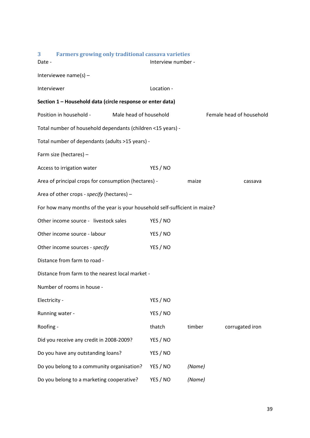| 3<br><b>Farmers growing only traditional cassava varieties</b><br>Date -    | Interview number - |        |                          |
|-----------------------------------------------------------------------------|--------------------|--------|--------------------------|
| Interviewee name(s) $-$                                                     |                    |        |                          |
| Interviewer                                                                 | Location -         |        |                          |
| Section 1 - Household data (circle response or enter data)                  |                    |        |                          |
| Position in household -<br>Male head of household                           |                    |        | Female head of household |
| Total number of household dependants (children <15 years) -                 |                    |        |                          |
| Total number of dependants (adults >15 years) -                             |                    |        |                          |
| Farm size (hectares) -                                                      |                    |        |                          |
| Access to irrigation water                                                  | YES / NO           |        |                          |
| Area of principal crops for consumption (hectares) -                        |                    | maize  | cassava                  |
| Area of other crops - specify (hectares) -                                  |                    |        |                          |
| For how many months of the year is your household self-sufficient in maize? |                    |        |                          |
| Other income source - livestock sales                                       | YES / NO           |        |                          |
| Other income source - labour                                                | YES / NO           |        |                          |
| Other income sources - specify                                              | YES / NO           |        |                          |
| Distance from farm to road -                                                |                    |        |                          |
| Distance from farm to the nearest local market -                            |                    |        |                          |
| Number of rooms in house -                                                  |                    |        |                          |
| Electricity -                                                               | YES / NO           |        |                          |
| Running water -                                                             | YES / NO           |        |                          |
| Roofing -                                                                   | thatch             | timber | corrugated iron          |
| Did you receive any credit in 2008-2009?                                    | YES / NO           |        |                          |
| Do you have any outstanding loans?                                          | YES / NO           |        |                          |
| Do you belong to a community organisation?                                  | YES / NO           | (Name) |                          |
| Do you belong to a marketing cooperative?                                   | YES / NO           | (Name) |                          |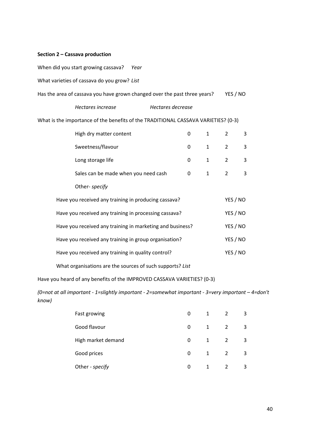### Section 2 – Cassava production

When did you start growing cassava? Year

What varieties of cassava do you grow? List

| Has the area of cassava you have grown changed over the past three years? | YES / NO |
|---------------------------------------------------------------------------|----------|
|                                                                           |          |

| Hectares increase | Hectares decrease |
|-------------------|-------------------|
|                   |                   |

What is the importance of the benefits of the TRADITIONAL CASSAVA VARIETIES? (0-3)

| High dry matter content                              | 0        | $1 \quad$      | $\overline{2}$ | 3 |
|------------------------------------------------------|----------|----------------|----------------|---|
| Sweetness/flavour                                    | $\Omega$ | $\overline{1}$ | $\overline{2}$ | 3 |
| Long storage life                                    | 0        | $1 \quad$      | $\overline{2}$ | 3 |
| Sales can be made when you need cash                 | 0        | 1              |                | 3 |
| Other- specify                                       |          |                |                |   |
| Have you received any training in producing cassava? |          |                | YES / NO       |   |

| Have you received any training in processing cassava?     | YES / NO |
|-----------------------------------------------------------|----------|
| Have you received any training in marketing and business? | YES / NO |
| Have you received any training in group organisation?     | YES / NO |
| Have you received any training in quality control?        | YES / NO |
|                                                           |          |

What organisations are the sources of such supports? List

Have you heard of any benefits of the IMPROVED CASSAVA VARIETIES? (0-3)

(0=not at all important - 1=slightly important - 2=somewhat important - 3=very important – 4=don't know)

| Fast growing       | 0 | 1 | 2              | 3 |
|--------------------|---|---|----------------|---|
| Good flavour       | 0 | 1 | $\overline{2}$ | 3 |
| High market demand | 0 | 1 | $\overline{2}$ | 3 |
| Good prices        | 0 | 1 | $\overline{2}$ | 3 |
| Other - specify    | 0 |   | 2              | 3 |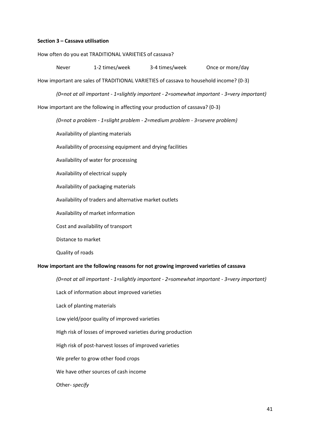#### Section 3 – Cassava utilisation

How often do you eat TRADITIONAL VARIETIES of cassava?

Never 1-2 times/week 3-4 times/week Once or more/day

How important are sales of TRADITIONAL VARIETIES of cassava to household income? (0-3)

(0=not at all important - 1=slightly important - 2=somewhat important - 3=very important)

How important are the following in affecting your production of cassava? (0-3)

(0=not a problem - 1=slight problem - 2=medium problem - 3=severe problem)

Availability of planting materials

Availability of processing equipment and drying facilities

Availability of water for processing

Availability of electrical supply

Availability of packaging materials

Availability of traders and alternative market outlets

Availability of market information

Cost and availability of transport

Distance to market

Quality of roads

#### How important are the following reasons for not growing improved varieties of cassava

(0=not at all important - 1=slightly important - 2=somewhat important - 3=very important)

Lack of information about improved varieties

Lack of planting materials

Low yield/poor quality of improved varieties

High risk of losses of improved varieties during production

High risk of post-harvest losses of improved varieties

We prefer to grow other food crops

We have other sources of cash income

Other- specify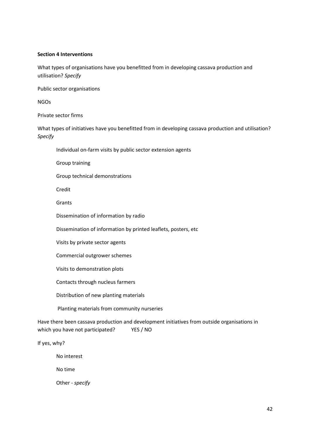### Section 4 Interventions

What types of organisations have you benefitted from in developing cassava production and utilisation? Specify

Public sector organisations

NGOs

Private sector firms

What types of initiatives have you benefitted from in developing cassava production and utilisation? Specify

Individual on-farm visits by public sector extension agents

Group training

Group technical demonstrations

Credit

Grants

Dissemination of information by radio

Dissemination of information by printed leaflets, posters, etc

Visits by private sector agents

Commercial outgrower schemes

Visits to demonstration plots

Contacts through nucleus farmers

Distribution of new planting materials

Planting materials from community nurseries

Have there been cassava production and development initiatives from outside organisations in which you have not participated? YES / NO

If yes, why?

No interest

No time

Other - specify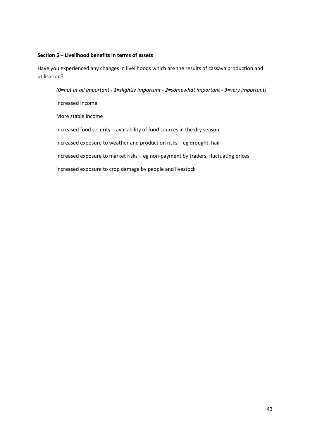### Section 5 – Livelihood benefits in terms of assets

Have you experienced any changes in livelihoods which are the results of cassava production and utilisation?

(0=not at all important - 1=slightly important - 2=somewhat important - 3=very important) Increased income More stable income Increased food security – availability of food sources in the dry season Increased exposure to weather and production risks – eg drought, hail Increased exposure to market risks – eg non-payment by traders, fluctuating prices Increased exposure to crop damage by people and livestock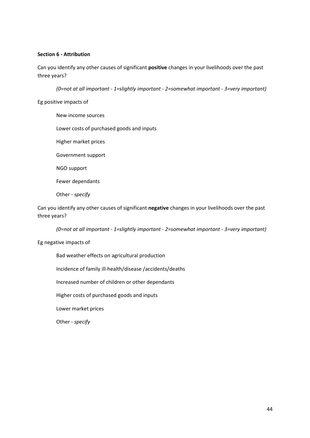### Section 6 - Attribution

Can you identify any other causes of significant positive changes in your livelihoods over the past three years?

(0=not at all important - 1=slightly important - 2=somewhat important - 3=very important)

### Eg positive impacts of

New income sources Lower costs of purchased goods and inputs Higher market prices Government support NGO support Fewer dependants Other - specify

Can you identify any other causes of significant negative changes in your livelihoods over the past three years?

(0=not at all important - 1=slightly important - 2=somewhat important - 3=very important)

### Eg negative impacts of

Bad weather effects on agricultural production Incidence of family ill-health/disease /accidents/deaths Increased number of children or other dependants Higher costs of purchased goods and inputs Lower market prices Other - specify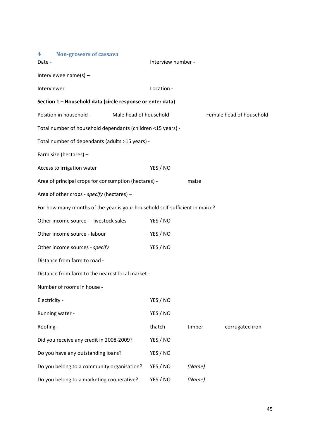| <b>Non-growers of cassava</b><br>$\overline{\mathbf{4}}$                    |                        |        |                          |
|-----------------------------------------------------------------------------|------------------------|--------|--------------------------|
| Date -                                                                      | Interview number -     |        |                          |
| Interviewee name(s) $-$                                                     |                        |        |                          |
| Interviewer                                                                 | Location -             |        |                          |
| Section 1 - Household data (circle response or enter data)                  |                        |        |                          |
| Position in household -                                                     | Male head of household |        | Female head of household |
| Total number of household dependants (children <15 years) -                 |                        |        |                          |
| Total number of dependants (adults >15 years) -                             |                        |        |                          |
| Farm size (hectares) -                                                      |                        |        |                          |
| Access to irrigation water                                                  | YES / NO               |        |                          |
| Area of principal crops for consumption (hectares) -                        |                        | maize  |                          |
| Area of other crops - specify (hectares) -                                  |                        |        |                          |
| For how many months of the year is your household self-sufficient in maize? |                        |        |                          |
| Other income source - livestock sales                                       | YES / NO               |        |                          |
| Other income source - labour                                                | YES / NO               |        |                          |
| Other income sources - specify                                              | YES / NO               |        |                          |
| Distance from farm to road -                                                |                        |        |                          |
| Distance from farm to the nearest local market -                            |                        |        |                          |
| Number of rooms in house -                                                  |                        |        |                          |
| Electricity -                                                               | YES / NO               |        |                          |
| Running water -                                                             | YES / NO               |        |                          |
| Roofing -                                                                   | thatch                 | timber | corrugated iron          |
| Did you receive any credit in 2008-2009?                                    | YES / NO               |        |                          |
| Do you have any outstanding loans?                                          | YES / NO               |        |                          |
| Do you belong to a community organisation?                                  | YES / NO               | (Name) |                          |
| Do you belong to a marketing cooperative?                                   | YES / NO               | (Name) |                          |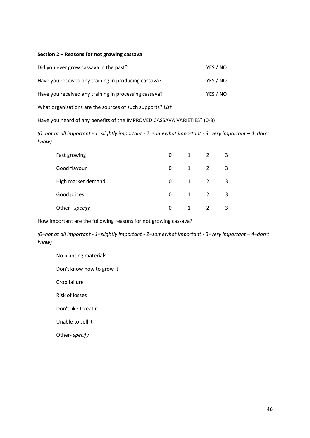### Section 2 – Reasons for not growing cassava

| Did you ever grow cassava in the past?                | YES / NO |
|-------------------------------------------------------|----------|
| Have you received any training in producing cassava?  | YES / NO |
| Have you received any training in processing cassava? | YES / NO |

What organisations are the sources of such supports? List

Have you heard of any benefits of the IMPROVED CASSAVA VARIETIES? (0-3)

(0=not at all important - 1=slightly important - 2=somewhat important - 3=very important – 4=don't know)

| Fast growing       | 0 | 1            |   | 3 |
|--------------------|---|--------------|---|---|
| Good flavour       | 0 | 1            | 2 | 3 |
| High market demand | 0 | 1            | 2 | 3 |
| Good prices        | 0 | $\mathbf{1}$ | 2 | 3 |
| Other - specify    | 0 |              |   | ੨ |

How important are the following reasons for not growing cassava?

(0=not at all important - 1=slightly important - 2=somewhat important - 3=very important – 4=don't know)

No planting materials Don't know how to grow it Crop failure Risk of losses Don't like to eat it Unable to sell it Other- specify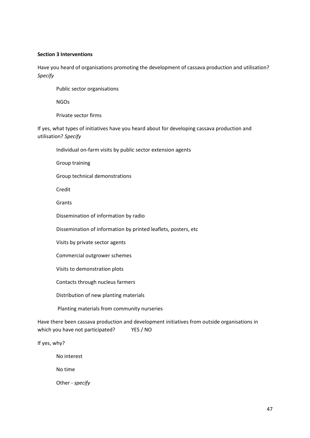### Section 3 Interventions

Have you heard of organisations promoting the development of cassava production and utilisation? Specify

Public sector organisations

NGOs

Private sector firms

If yes, what types of initiatives have you heard about for developing cassava production and utilisation? Specify

Individual on-farm visits by public sector extension agents

Group training

Group technical demonstrations

Credit

Grants

Dissemination of information by radio

Dissemination of information by printed leaflets, posters, etc

Visits by private sector agents

Commercial outgrower schemes

Visits to demonstration plots

Contacts through nucleus farmers

Distribution of new planting materials

Planting materials from community nurseries

Have there been cassava production and development initiatives from outside organisations in which you have not participated? YES / NO

If yes, why?

No interest

No time

Other - specify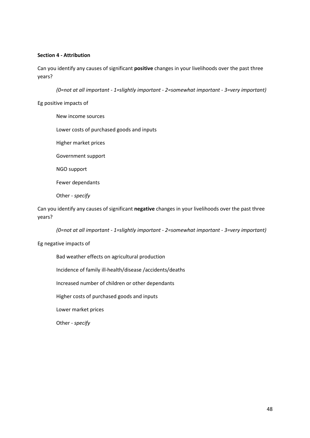### Section 4 - Attribution

Can you identify any causes of significant **positive** changes in your livelihoods over the past three years?

(0=not at all important - 1=slightly important - 2=somewhat important - 3=very important)

Eg positive impacts of

New income sources Lower costs of purchased goods and inputs Higher market prices Government support NGO support Fewer dependants Other - specify

Can you identify any causes of significant negative changes in your livelihoods over the past three years?

(0=not at all important - 1=slightly important - 2=somewhat important - 3=very important)

### Eg negative impacts of

Bad weather effects on agricultural production Incidence of family ill-health/disease /accidents/deaths Increased number of children or other dependants Higher costs of purchased goods and inputs Lower market prices Other - specify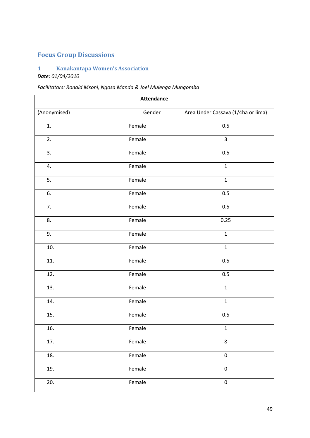## Focus Group Discussions

## 1 Kanakantapa Women's Association Date: 01/04/2010

## Facilitators: Ronald Msoni, Ngosa Manda & Joel Mulenga Mungomba

| <b>Attendance</b> |        |                                    |  |  |
|-------------------|--------|------------------------------------|--|--|
| (Anonymised)      | Gender | Area Under Cassava (1/4ha or lima) |  |  |
| 1.                | Female | 0.5                                |  |  |
| 2.                | Female | $\overline{3}$                     |  |  |
| 3.                | Female | 0.5                                |  |  |
| 4.                | Female | $\mathbf 1$                        |  |  |
| 5.                | Female | $\mathbf 1$                        |  |  |
| 6.                | Female | 0.5                                |  |  |
| 7.                | Female | 0.5                                |  |  |
| 8.                | Female | 0.25                               |  |  |
| 9.                | Female | $\mathbf{1}$                       |  |  |
| 10.               | Female | $\mathbf 1$                        |  |  |
| 11.               | Female | 0.5                                |  |  |
| 12.               | Female | 0.5                                |  |  |
| 13.               | Female | $\mathbf{1}$                       |  |  |
| 14.               | Female | $\mathbf{1}$                       |  |  |
| 15.               | Female | 0.5                                |  |  |
| 16.               | Female | $\mathbf{1}$                       |  |  |
| 17.               | Female | 8                                  |  |  |
| 18.               | Female | $\pmb{0}$                          |  |  |
| 19.               | Female | $\pmb{0}$                          |  |  |
| 20.               | Female | $\pmb{0}$                          |  |  |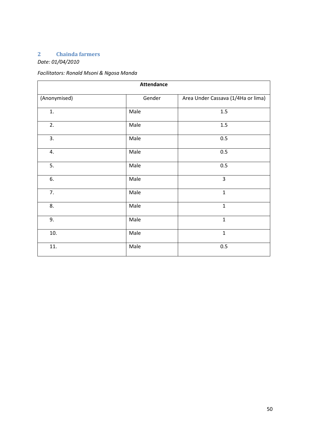## 2 Chainda farmers

Date: 01/04/2010

## Facilitators: Ronald Msoni & Ngosa Manda

| <b>Attendance</b> |        |                                    |  |  |  |
|-------------------|--------|------------------------------------|--|--|--|
| (Anonymised)      | Gender | Area Under Cassava (1/4Ha or lima) |  |  |  |
| 1.                | Male   | $1.5\,$                            |  |  |  |
| 2.                | Male   | $1.5\,$                            |  |  |  |
| 3.                | Male   | 0.5                                |  |  |  |
| 4.                | Male   | 0.5                                |  |  |  |
| 5.                | Male   | 0.5                                |  |  |  |
| 6.                | Male   | $\overline{3}$                     |  |  |  |
| 7.                | Male   | $\mathbf{1}$                       |  |  |  |
| 8.                | Male   | $\mathbf{1}$                       |  |  |  |
| 9.                | Male   | $\mathbf 1$                        |  |  |  |
| 10.               | Male   | $\mathbf{1}$                       |  |  |  |
| 11.               | Male   | 0.5                                |  |  |  |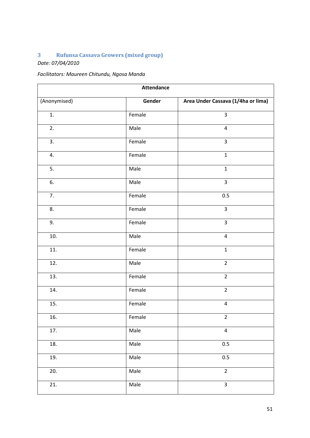## 3 Rufunsa Cassava Growers (mixed group)

Date: 07/04/2010

## Facilitators: Maureen Chitundu, Ngosa Manda

| <b>Attendance</b> |        |                                    |  |  |
|-------------------|--------|------------------------------------|--|--|
| (Anonymised)      | Gender | Area Under Cassava (1/4ha or lima) |  |  |
| 1.                | Female | $\overline{3}$                     |  |  |
| 2.                | Male   | $\overline{4}$                     |  |  |
| 3.                | Female | $\overline{3}$                     |  |  |
| 4.                | Female | $\mathbf{1}$                       |  |  |
| 5.                | Male   | $\mathbf{1}$                       |  |  |
| 6.                | Male   | $\overline{3}$                     |  |  |
| 7.                | Female | 0.5                                |  |  |
| 8.                | Female | $\overline{3}$                     |  |  |
| 9.                | Female | $\overline{3}$                     |  |  |
| 10.               | Male   | $\overline{4}$                     |  |  |
| 11.               | Female | $\mathbf 1$                        |  |  |
| 12.               | Male   | $\overline{2}$                     |  |  |
| 13.               | Female | $\overline{2}$                     |  |  |
| 14.               | Female | $\overline{2}$                     |  |  |
| 15.               | Female | $\overline{\mathbf{4}}$            |  |  |
| 16.               | Female | $\overline{2}$                     |  |  |
| 17.               | Male   | $\overline{\mathbf{4}}$            |  |  |
| 18.               | Male   | $0.5\,$                            |  |  |
| 19.               | Male   | 0.5                                |  |  |
| 20.               | Male   | $\overline{2}$                     |  |  |
| 21.               | Male   | $\mathbf{3}$                       |  |  |